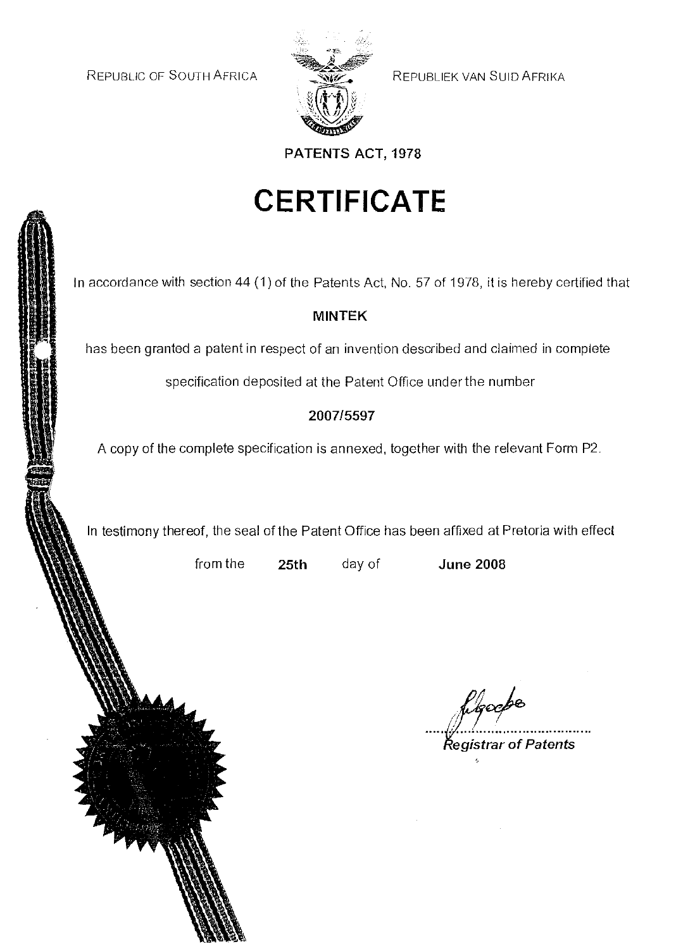REPUBliC OF SOUTH AFRICA



REPUBLIEK VAN SUID AFRIKA

PATENTS ACT, 1978

# **CERTIFICATE**

In accordance with section 44 (1) of the Patents Act, No. 57 of 1978, it is hereby certified that

## MINTEK

has been granted a patent in respect of an invention described and claimed in complete

specification deposited at the Patent Office under the number

## 2007/5597

A copy of the complete specification is annexed, together with the relevant Form P2.

In testimony thereof, the seal of the Patent Office has been affixed at Pretoria with effect

day of 25th from the

June 2008

11goce<del>pe</del><br>Registrar of Patents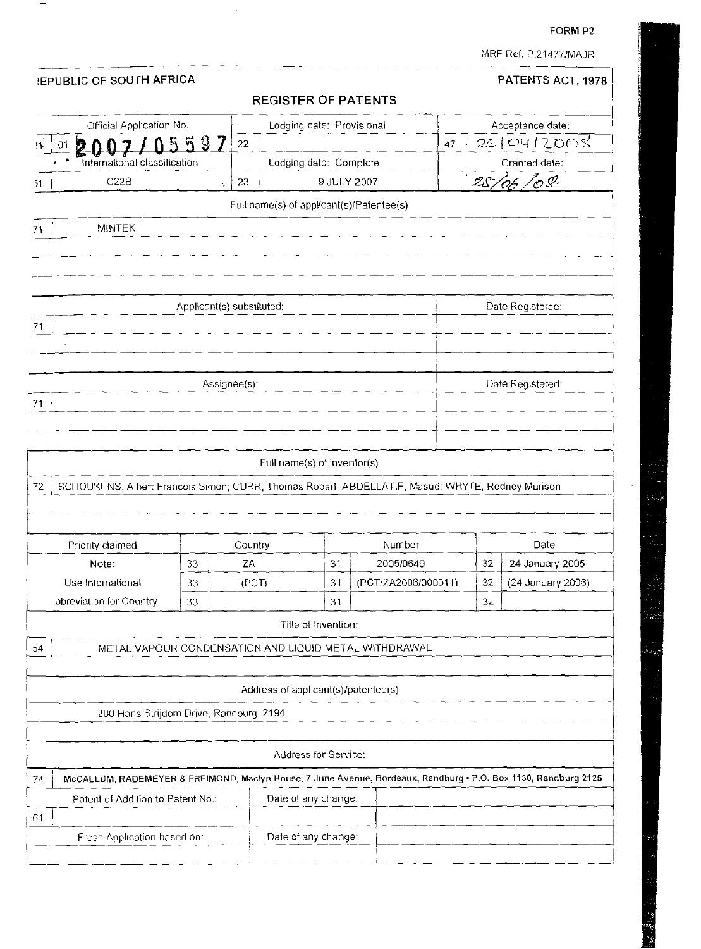#### FORM P2

MRF Ref: P.21477/MAJR

| <b>(EPUBLIC OF SOUTH AFRICA</b>                                         |                                   | <b>REGISTER OF PATENTS</b>               |                           |                                                                                                                |        | PATENTS ACT, 1978              |
|-------------------------------------------------------------------------|-----------------------------------|------------------------------------------|---------------------------|----------------------------------------------------------------------------------------------------------------|--------|--------------------------------|
|                                                                         |                                   |                                          |                           |                                                                                                                |        |                                |
| Official Application No.<br>$^{\prime}$ is the set of the set of $\sim$ | 7<br><u> 59</u><br>$\mathbb{F}^*$ | 22                                       | Lodging date: Provisional | 47                                                                                                             |        | Acceptance date:<br>25/04/2008 |
| <u>በበ 7</u><br>01<br>International classification                       |                                   |                                          | Lodging date: Complete    |                                                                                                                |        | Granted date:                  |
| C22B<br>51                                                              | $\tau$ .                          | 23                                       | 9 JULY 2007               |                                                                                                                | 2s/06/ | 10 Q.                          |
|                                                                         |                                   | Full name(s) of applicant(s)/Patentee(s) |                           |                                                                                                                |        |                                |
| <b>MINTEK</b><br>71                                                     |                                   |                                          |                           |                                                                                                                |        |                                |
|                                                                         |                                   |                                          |                           |                                                                                                                |        |                                |
|                                                                         |                                   | Applicant(s) substituted:                |                           |                                                                                                                |        | Date Registered:               |
| 71                                                                      |                                   |                                          |                           |                                                                                                                |        |                                |
|                                                                         |                                   | Assignee(s):                             |                           |                                                                                                                |        | Date Registered:               |
| 71                                                                      |                                   |                                          |                           |                                                                                                                |        |                                |
| 72                                                                      |                                   | Full name(s) of inventor(s)              |                           | SCHOUKENS, Albert Francois Simon; CURR, Thomas Robert; ABDELLATIF, Masud; WHYTE, Rodney Murison                |        |                                |
|                                                                         |                                   |                                          |                           |                                                                                                                |        |                                |
| Priority claimed                                                        |                                   | Country                                  |                           | Number                                                                                                         |        | Date                           |
| Note:                                                                   | 33                                | ZA.                                      | 31                        | 2005/0649                                                                                                      | 32     | 24 January 2005                |
| Use International                                                       | 33                                | (PCT)                                    | 31                        | (PCT/ZA2006/000011)                                                                                            | 32     | (24 January 2006)              |
| abreviation for Country.                                                | 33                                |                                          | 31                        |                                                                                                                |        |                                |
|                                                                         |                                   |                                          | Title of Invention:       |                                                                                                                |        |                                |
|                                                                         |                                   |                                          |                           |                                                                                                                |        |                                |
|                                                                         |                                   |                                          |                           | METAL VAPOUR CONDENSATION AND LIQUID METAL WITHDRAWAL                                                          |        |                                |
|                                                                         |                                   |                                          |                           |                                                                                                                |        |                                |
|                                                                         |                                   | Address of applicant(s)/patentee(s)      |                           |                                                                                                                |        |                                |
| 200 Hans Strijdom Drive, Randburg, 2194                                 |                                   |                                          |                           |                                                                                                                |        |                                |
|                                                                         |                                   |                                          |                           |                                                                                                                |        |                                |
|                                                                         |                                   |                                          | Address for Service:      |                                                                                                                |        |                                |
|                                                                         |                                   |                                          |                           |                                                                                                                |        |                                |
|                                                                         |                                   |                                          |                           | McCALLUM, RADEMEYER & FREIMOND, Maclyn House, 7 June Avenue, Bordeaux, Randburg · P.O. Box 1130, Randburg 2125 |        |                                |
| Patent of Addition to Patent No.:                                       |                                   | Date of any change:                      |                           |                                                                                                                |        |                                |
| 54<br>74<br>61<br>Fresh Application based on:                           |                                   | Date of any change:                      |                           |                                                                                                                |        |                                |

 $\frac{1}{2}$ 

 $\overline{\phantom{a}}$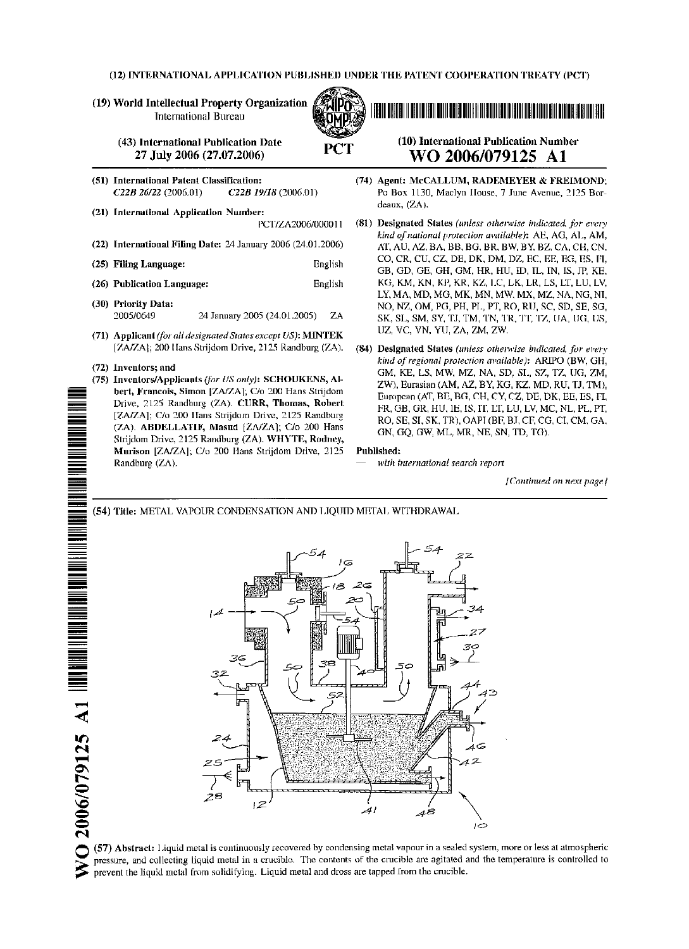(12) INTERNATIONAL APPLICATION PUBLISHED UNDER THE PATENT COOPERATION TREATY (PCT)

(19) World Ini~~~~:n~ro~l~:~l Organization • ImillIIIl1ml <sup>11</sup> <sup>1111111111111111111111111</sup> <sup>111111111111111111111</sup> I11111111111111111111111111111111



- (51) International Patent Classification: *C22B 26/22* (2006.01) *C22B 19/18* (2006.01)
- (21) International Application Number: PCT/ZA2006/000011
- (22) International Filing Date: 24 January 2006 (24.01.2006)

English (25) Filing Language:

English (26) Publication Language:

- 24 January 2005 (24.01.2005) ZA (30) Priority Data: *2005/0649*
- (71) Applicant *(for all designated States except US):* .MINTEK [ZAr7.AJ; 200 Ilans Strijdom Drive, 2125 Randburg (ZA). (84) Designated States *[unless otherwise indicated. for every*

#### (72) Inventors; and

(75) Inventors/Appllcunus *(jor us only):* SCHOUKENS, Albert, Francols, Simon IZA/ZA1; *Clo* 200 Hans Strijdom Drive. 2125 Randburg (ZA). CURR, Thomas, Robert [ZA/ZA]; *C/o* 200 Hans Strijdom Drive, 2125 Randburg (ZA). ABDELLATIF, Masud [ZA/ZA]; C/o 200 Hans Strijdom Drive, 2125 Randburg (ZA). WHYTE, Rodney, Murison [ZA/ZA]; C/o 200 Hans Strijdom Drive, 2125 Randburg *(LA).*

#### (43) International Publication Date  $\overline{PCT}$  (10) International Publication Number 27 July 2006 (27.07.2006)  $\qquad \qquad ^{P\cup 1} \qquad \qquad WO$  2006/079125 A1

- (74) Agent: McCALLUM, RADEMEYER & FREIMOND: Po Box 1130, Maclyn House, 7 June Avenue, 2125 Bordcaux, (ZA).
- (81) Designated Slates *(unless otherwise indicated. for every kind ofnationut protection available):* AE, AG, AL, AM, Al, *AV, AL,* BA, BB. no, llR, BW, BY. *BL,* CA, CH, CN. CO, CR, CV, CZ, DE, DK, OM. OZ, RC. EE, EG, ES, H. GB, GO, GE, GH, GM. HR, HU, ID. IL, IN, IS. JP, KE. KG, KM, KN, KP, KR, KZ, LC, LK, LR, LS, LT, LU, LV, LY, MA, MD, MG, MK, MN, MW, MX, MZ, NA, NG, NI, NO, NZ, OM, PG, PH, PI., Pl, RO, RU, SC, SD. SE, SG. SK, SL, SM, SY, TJ, TM, TN, TR, TT, TZ, UA, UG, US, UZ. VC, VN, YlJ, ZA, ZM. Zw.
- *kind of regi011111 protection available):* ARIPO (BW, GH, GM, KE, LS, MW, MZ, NA, SO. SI., SZ, TZ, UG, ZM. ZW), Eurasian (AM, AZ, BY, KG, KZ, MD, RU, TJ, TM). European (AT, BE, BG, CH, CY, CZ, DE, DK, EE, ES, FI, FR, GB, GR, HU, IE, IS, IT. LT, LU, LV, MC, NL, PL, PT, RO, SE, SI. SK. TR), OAPI (BI', *Bl,* Cl', CG, Cl, CM. GA. GN, GQ, GW, ML, MR, NE, SN, TD, TG).

#### Published:

*with international search report*

*[Continued on next page]* 



(57) Abstract: Liquid metal is continuously recovered by condensing metal vapour in a sealed system, more or less at atmospheric pressure, and collecting liquid metal in a crucible. The contents of the crucible are agitated and the temperature is controlled to prevent the liquid metal from solidifying. Liquid metal and dross are tapped from the crucible.

- ;;;;;;;;; - 1 If) <u>م.</u> 06/079 Q  $\bullet$ = -<br>-<br>-<br>-- -;;;;;;;;; ;;;;;;;;;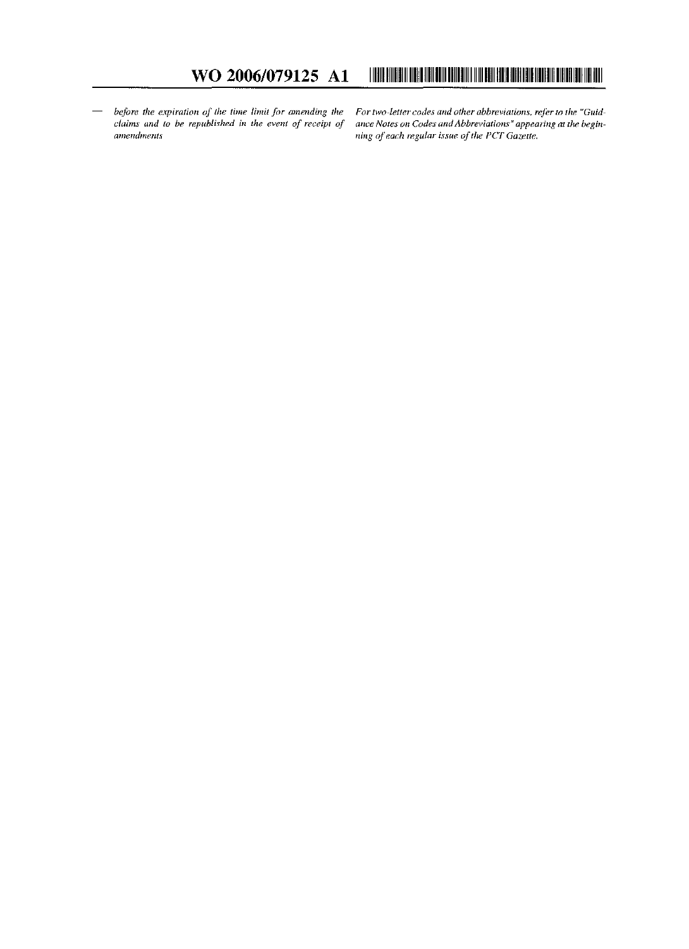*before the expiration oJ the time limit for amending the claims* and to be *republished* in the event of *receipt* of *amendments*

*For two-letter codes and other abbreviations. refer to the "Guidance Notes on Codes andAbbreviations" appearing at* lire *begin- /ling ofeach regular issue ofthe PCT Garene.*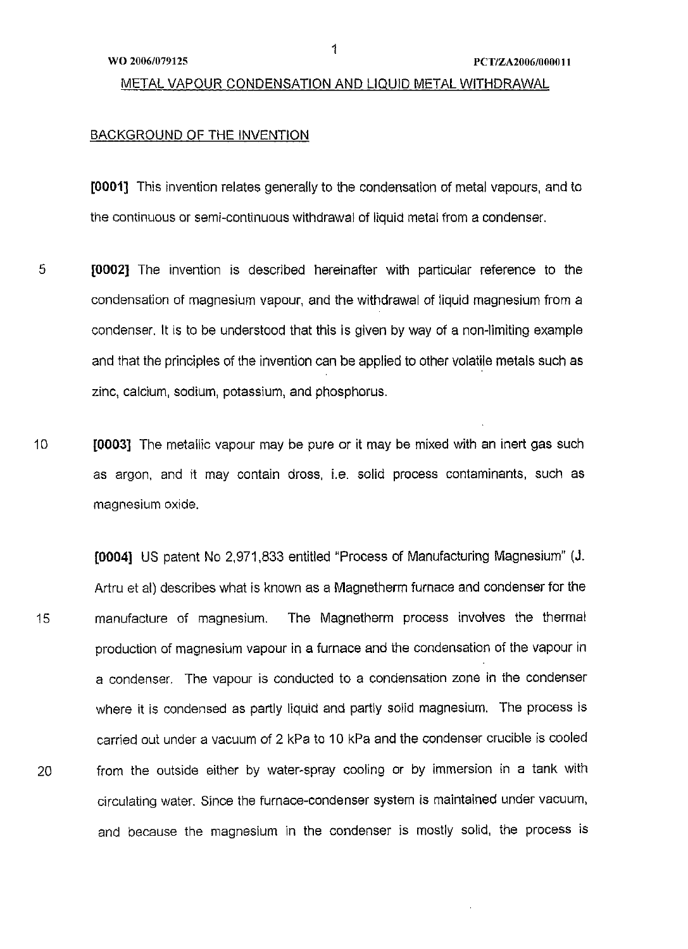1

#### METAL VAPOUR CONDENSATION AND LIQUID METAL WITHDRAWAL

#### BACKGROUND OF **THE** INVENTION

**[0001]** This invention relates generally to the condensation of metal vapours, and to the continuous or semi-continuous withdrawal of liquid metal from a condenser.

- 5 **[0002]** The invention is described hereinafter with particular reference to the condensation of magnesium vapour, and the withdrawal of liquid magnesium from a condenser. It is to be understood that this is given by way of a non-limiting example and that the principles of the invention can be applied to other volatile metals such as zinc, calcium, sodium, potassium, and phosphorus.
- 10 **[0003]** The metallic vapour may be pure or it may be mixed with an inert gas such as argon, and it may contain dross, i.e. solid process contaminants, such as magnesium oxide.

**[0004]** US patent No 2,971,833 entitled "Process of Manufacturing Magnesium" (J. Artru et al) describes what is known as a Magnetherm furnace and condenser for the 15 manufacture of magnesium. The Magnetherm process involves the thermal production of magnesium vapour in a furnace and the condensation of the vapour in a condenser. The vapour is conducted to a condensation zone in the condenser where it is condensed as partly liquid and partly solid magnesium. The process is carried out under a vacuum of 2 kPa to 10 kPa and the condenser crucible is cooled 20 from the outside either by water-spray cooling or by immersion in a tank with circulating water. Since the furnace-condenser system is maintained under vacuum, and because the magnesium in the condenser is mostly solid, the process is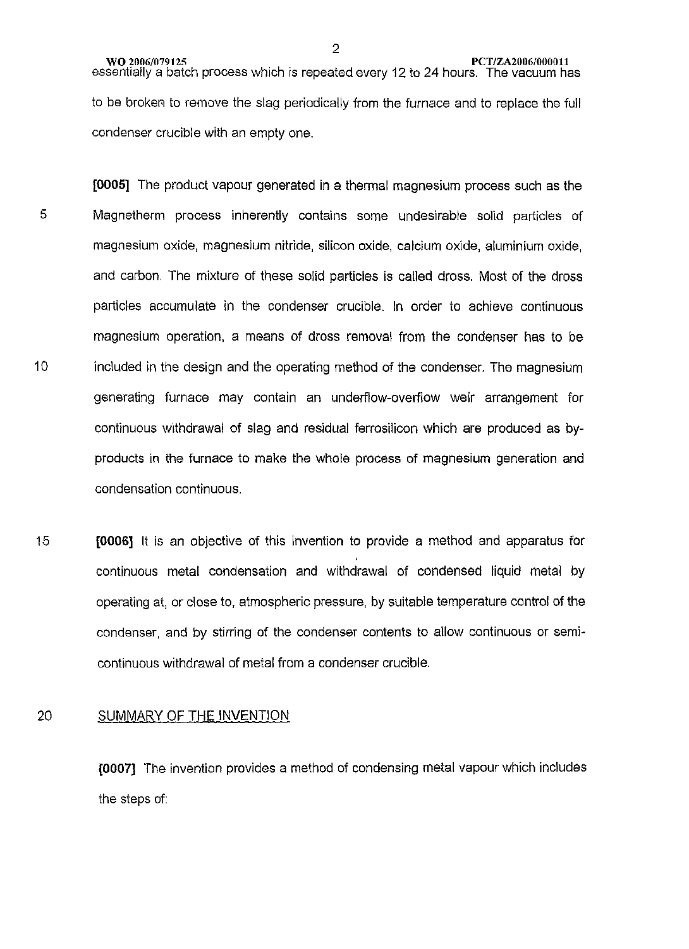**WO** 2006/079125 PCT/ZA2006/000011 essentially a batch process which is repeated every 12 to 24 hours. The vacuum has to be broken to remove the slag periodically from the furnace and to replace the full condenser crucible with an empty one.

- **[0005]** The product vapour generated in a thennal magnesium process such as the 5 Magnetherm process inherently contains some undesirable solid particles of magnesium oxide, magnesium nitride, silicon oxide, calcium oxide, aluminium oxide, and carbon. The mixture of these solid particles is called dross. Most of the dross particles accumulate in the condenser crucible. In order to achieve continuous magnesium operation, a means of dross removal from the condenser has to be 10 included in the design and the operating method of the condenser. The magnesium generating furnace may contain an underflow-overflow weir arrangement for continuous withdrawal of slag and residual ferrosilicon which are produced as byproducts in the furnace to make the whole process of magnesium generation and condensation continuous.
- 15 **[0006]** It is an objective of this invention to provide a method and apparatus for continuous metal condensation and withdrawal of condensed liquid metal by operating at, or close to, atmospheric pressure, by suitable temperature control of the condenser, and by stirring of the condenser contents to allow continuous or semicontinuous withdrawal of metal from a condenser crucible.

### 20 SUMMARY OF THE INVENTION

**[0007]** The invention provides a method of condensing metal vapour which includes the steps of:

 $\mathcal{P}$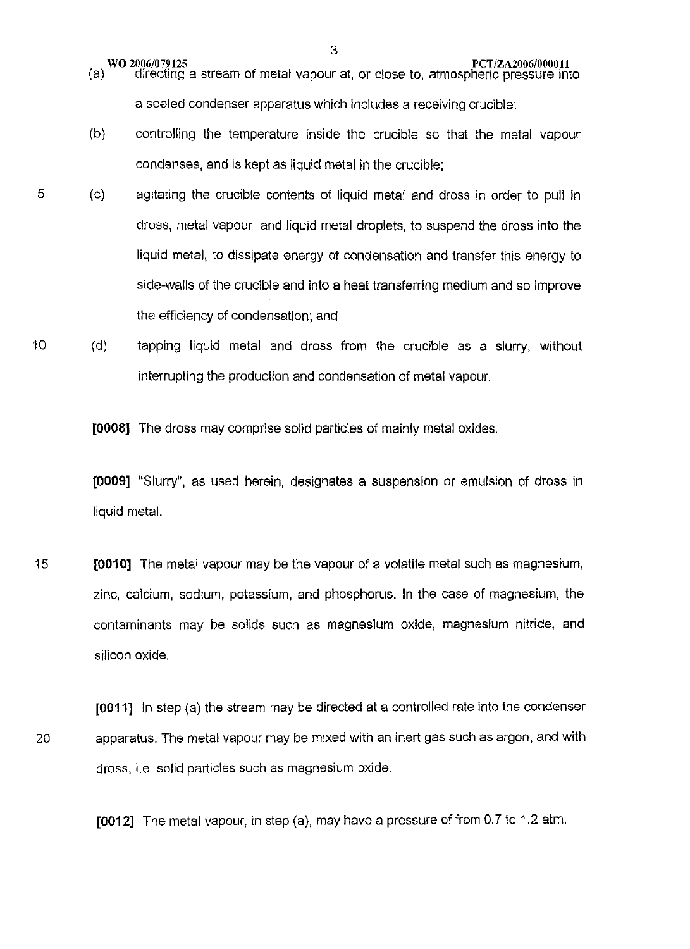**WO** 2006/079125 PCT/ZA2006/000011 (a) directing a stream of metal vapour at, or close to, atmospheric pressure into a sealed condenser apparatus which includes a receiving crucible',

3

- (b) controlling the temperature inside the crucible so that the metal vapour condenses, and is kept as liquid metal in the crucible;
- (c) agitating the crucible contents of liquid metal and dross in order to pull in dross, metal vapour, and liquid metal droplets, to suspend the dross into the liquid metal, to dissipate energy of condensation and transfer this energy to side-walls of the crucible and into a heat transferring medium and so improve the efficiency of condensation; and
- (d) tapping liquid metal and dross from the crucible as a slurry, without interrupting the production and condensation of metal vapour.

**[0008]** The dross may comprise solid particles of mainly metal oxides.

**[0009)** "Slurry", as used herein, designates a suspension or emulsion of dross in liquid metal.

15 **[0010)** The metal vapour may be the vapour of a volatile metal such as magnesium, zinc, calcium, sodium, potassium, and phosphorus. **In** the case of magnesium, the contaminants may be solids such as magnesium oxide, magnesium nitride, and silicon oxide.

**[0011]** In step (a) the stream may be directed at a controlled rate into the condenser 20 apparatus. The metal vapour may be mixed with an inert gas such as argon, and with dross, i.e. solid particles such as magnesium oxide.

**[0012)** The metal vapour, in step (a), may have a pressure of from 0.7 to 1.2 atm.

10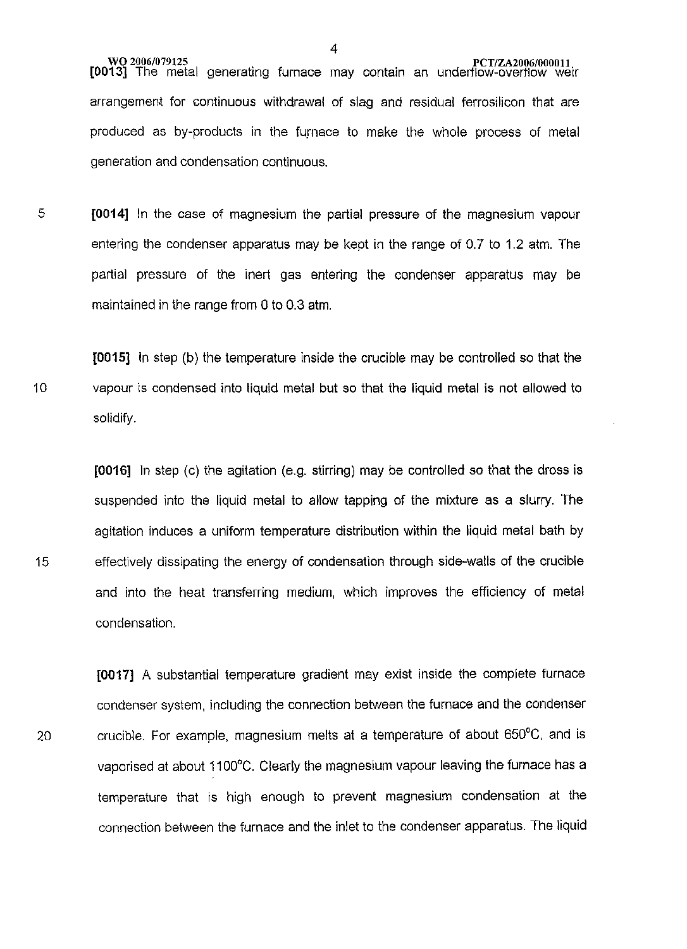**WO** 20061079125 PCT/ZA2006100001l **[0013]** The metal generating furnace may contain an underflow-overflow weir arrangement for continuous withdrawal of slag and residual ferrosilicon that are produced as by-products in the furnace to make the whole process of metal generation and condensation continuous.

5 **[0014]** In the case of magnesium the partial pressure of the magnesium vapour entering the condenser apparatus may be kept in the range of 0.7 to 1.2 atm. The partial pressure of the inert gas entering the condenser apparatus may be maintained in the range from 0 to 0.3 atm.

**[0015]** In step (b) the temperature inside the crucible may be controiled so that the 10 vapour is condensed into liquid metal but so that the liquid metal is not ailowed to solidify.

**[0016]** In step (c) the agitation (e.g. stirring) may be controlled so that the dross is suspended into the liquid metal to ailow tapping of the mixture as a slurry. The agitation induces a uniform temperature distribution within the liquid metal bath by 15 effectively dissipating the energy of condensation through side-wails of the crucible and into the heat transferring medium, which improves the efficiency of metal condensation.

**[0017]** A substantial temperature gradient may exist inside the complete furnace condenser system, including the connection between the furnace and the condenser 20 crucible. For example, magnesium melts at a temperature of about 650°C, and is vaporised at about 1100°C. Clearly the magnesium vapour leaving the furnace has a temperature that is high enough to prevent magnesium condensation at the connection between the furnace and the inlet to the condenser apparatus. The liquid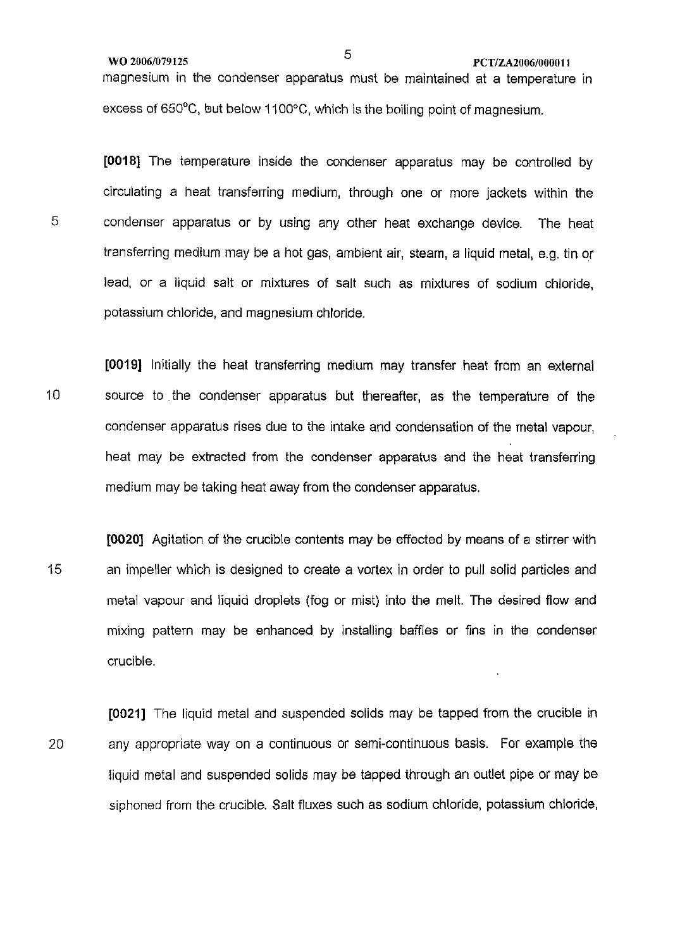**WO***2006/079125* 5 PCT/ZA2006/000011 magnesium in the condenser apparatus must be maintained at a temperature in excess of 650°C, but below 1100°C, which is the boiling point of magnesium.

**[0018]** The temperature inside the condenser apparatus may be controlled by circulating a heat transferring medium, through one or more jackets within the 5 condenser apparatus or by using any other heat exchange device. The heat transferring medium may be a hot gas, ambient air, steam, a liquid metal, e.g. tin or lead, or a liquid salt or mixtures of salt such as mixtures of sodium chloride, potassium chloride, and magnesium chloride.

- **[0019]** Initially the heat transferring medium may transfer heat from an external 10 source to the condenser apparatus but thereafter, as the temperature of the condenser apparatus rises due to the intake and condensation of the metal vapour, heat may be extracted from the condenser apparatus and the heat transferring medium may be taking heat away from the condenser apparatus.
- **[0020]** Agitation of the crucible contents may be effected by means of a stirrer with 15 an impeller which is designed to create a vortex in order to pull solid particles and metal vapour and liquid droplets (fog or mist) into the melt. The desired flow and mixing pattern may be enhanced by installing baffles or fins in the condenser crucible.

**[0021]** The liquid metal and suspended solids may be tapped from the crucible in 20 any appropriate way on a continuous or semi-continuous basis. For example the liquid metal and suspended solids may be tapped through an outlet pipe or may be siphoned from the crucible. Salt fluxes such as sodium chloride, potassium chloride,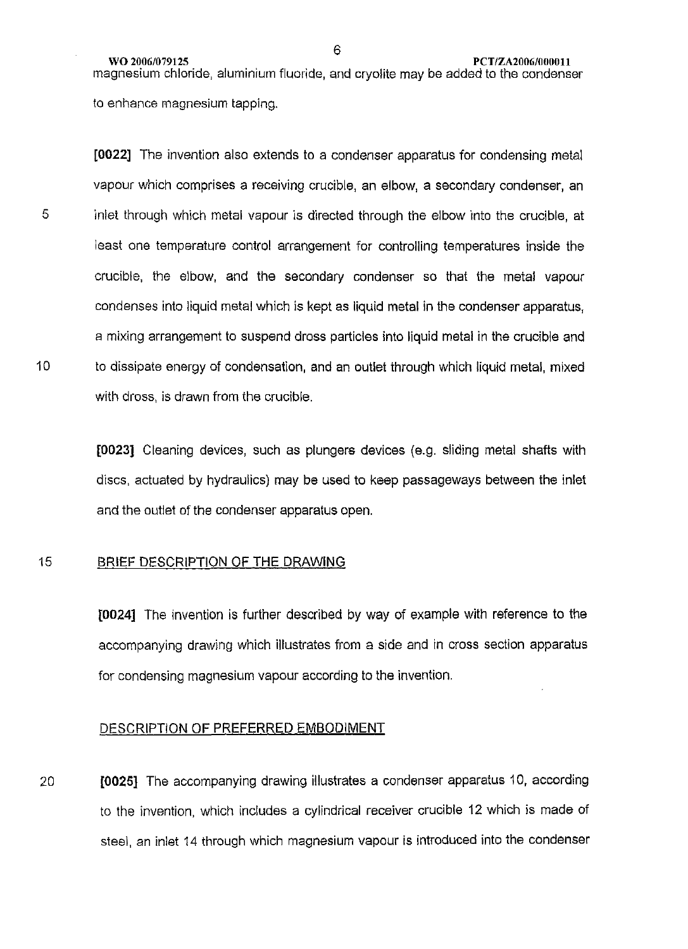6

**wo** 2006/079125 PCT/ZA2006/000011 magnesium chloride, aluminium fluoride, and cryolite may be added to the condenser to enhance magnesium tapping.

**[0022]** The invention also extends to a condenser apparatus for condensing metal vapour which comprises a receiving crucible, an elbow, a secondary condenser, an 5 inlet through which metal vapour is directed through the elbow into the crucible, at least one temperature control arrangement for controlling temperatures inside the crucible, the elbow, and the secondary condenser so that the metal vapour condenses into liquid metal which is kept as liquid metal in the condenser apparatus, a mixing arrangement to suspend dross particles into liquid metal in the crucible and 10 to dissipate energy of condensation, and an outlet through which liquid metal, mixed with dross, is drawn from the crucible.

> **[0023)** Cleaning devices, such as plungers devices (e.g. sliding metal shafts with discs, actuated by hydraulics) may be used to keep passageways between the inlet and the outlet of the condenser apparatus open.

#### 15 BRIEF DESCRIPTION OF THE DRAWING

**[0024]** The invention is further described by way of example with reference to the accompanying drawing which illustrates from a side and in cross section apparatus for condensing magnesium vapour according to the invention.

#### DESCRIPTION OF PREFERRED EMBODIMENT

20 **[0025]** The accompanying drawing illustrates a condenser apparatus 10, according to the invention, which includes a cylindrical receiver crucible 12 which is made of steel, an inlet 14 through which magnesium vapour is introduced into the condenser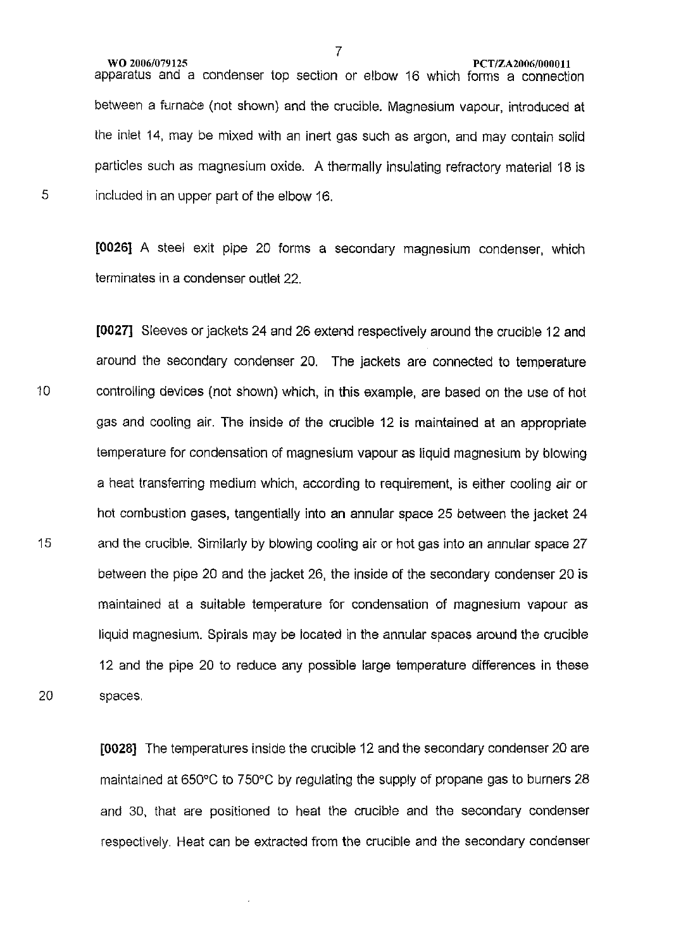**WO** 2006/079125 PCT/ZA20061000011 apparatus and a condenser top section or elbow 16 which forms a connection between a furnace (not shown) and the crucible. Magnesium vapour, introduced at the inlet 14, may be mixed with an inert gas such as argon, and may contain solid particles such as magnesium oxide. A thermally insulating refractory material 18 is 5 included in an upper part of the elbow 16.

**[0026]** A steel exit pipe 20 forms a secondary magnesium condenser, which terminates in a condenser outlet 22.

**[0027]** Sleeves or jackets 24 and 26 extend respectively around the crucible 12 and around the secondary condenser 20. The jackets are connected to temperature 10 controliing devices (not shown) Which, in this example, are based on the use of hot gas and cooling air. The inside of the crucible 12 is maintained at an appropriate temperature for condensation of magnesium vapour as liquid magnesium by blowing a heat transferring medium which, according to requirement, is either cooling air or hot combustion gases, tangentially into an annular space 25 between the jacket 24 15 and the crucible. Similarly by blowing cooling air or hot gas into an annular space 27 between the pipe 20 and the jacket 26, the inside of the secondary condenser 20 is maintained at a suitable temperature for condensation of magnesium vapour as liquid magnesium. Spirals may be located in the annular spaces around the crucible 12 and the pipe 20 to reduce any possible large temperature differences in these 20 spaces.

> **[0028]** The temperatures inside the crucible 12 and the secondary condenser 20 are maintained at 650°C to 750°C by regulating the supply of propane gas to burners 28 and 3D, that are positioned to heat the crucible and the secondary condenser respectively. Heat can be extracted from the crucible and the secondary condenser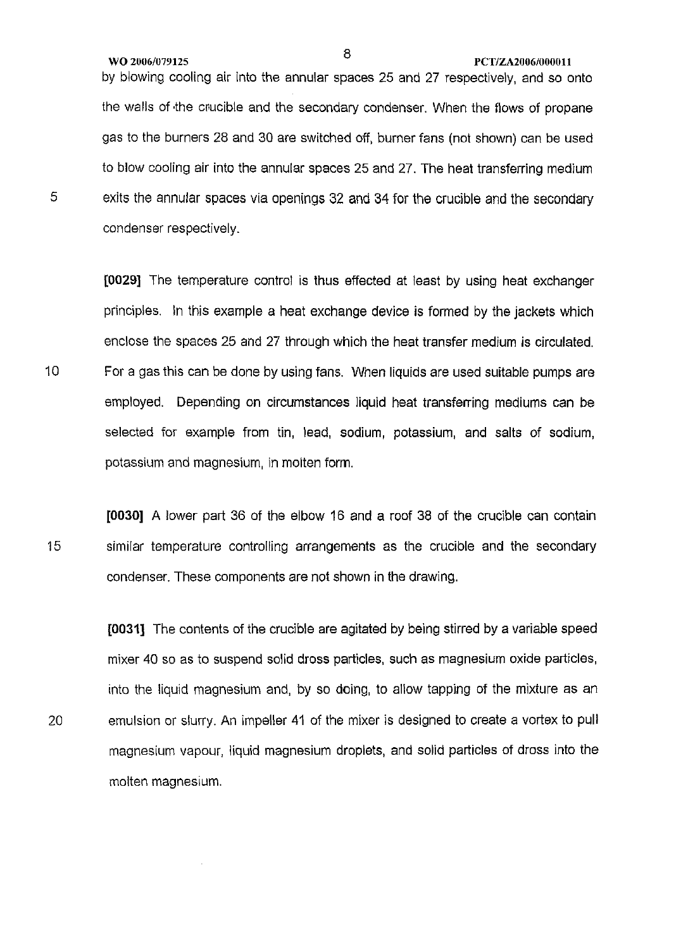<sup>8</sup> **WO** 2006/079125 PCT/ZA2006/000011 by blowing cooling air into the annular spaces 25 and 27 respectively, and so onto the walls of ·the crucible and the secondary condenser. When the flows of propane gas to the burners 28 and 30 are switched off, burner fans (not shown) can be used to blow cooling air into the annular spaces 25 and 27. The heat transferring medium 5 exits the annular spaces via openings 32 and 34 for the crucible and the secondary condenser respectively.

**[0029]** The temperature control is thus effected at least by using heat exchanger principles. In this example a heat exchange device is formed by the jackets which enclose the spaces 25 and 27 through which the heat transfer medium is circulated. 10 For a gas this can be done by using fans. When liquids are used suitable pumps are employed. Depending on circumstances liquid heat transferring mediums can be selected for example from tin, lead, sodium, potassium, and salts of sodium, potassium and magnesium, in molten form.

**[0030]** A lower part 36 of the elbow 16 and a roof 38 of the crucible can contain 15 similar temperature controlling arrangements as the crucible and the secondary condenser. These components are not shown in the drawing.

**[0031]** The contents of the crucible are agitated by being stirred by a variable speed mixer 40 so as to suspend solid dross particles, such as magnesium oxide particles, into the liquid magnesium and, by so doing, to allow tapping of the mixture as an 20 emulsion or slurry. An impeller 41 of the mixer is designed to create a vortex to pull magnesium vapour, liquid magnesium droplets, and solid particles of dross into the molten magnesium.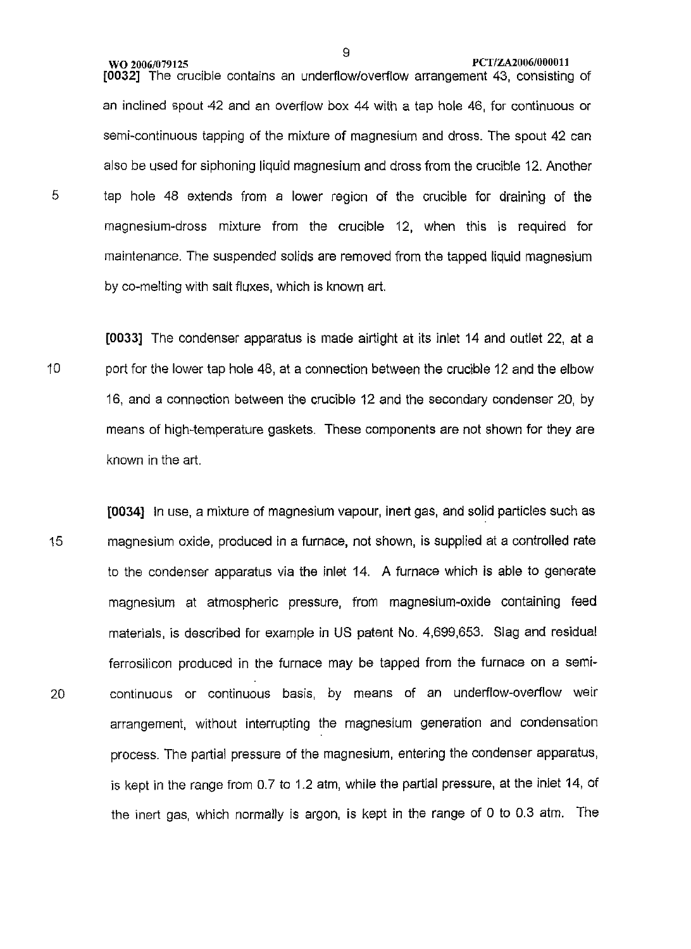**WO** 2006/079125 **PCT/ZA2006/000011 [0032]** The crucible contains an underflow/overflow arrangement 43, consisting of an inclined spout 42 and an overflow box 44 with a tap hole 46, for continuous or semi-continuous tapping of the mixture of magnesium and dross. The spout 42 can also be used for siphoning liquid magnesium and dross from the crucible 12. Another 5 tap hole 48 extends from a lower region of the crucible for draining of the magnesium-dross mixture from the crucible 12, when this is required for maintenance. The suspended solids are removed from the tapped liquid magnesium by co-melting with salt fluxes, which is known art.

**[0033]** The condenser apparatus is made airtight at its inlet 14 and outlet 22, at a 10 port for the lower tap hole 48, at a connection between the crucible 12 and the elbow 16, and a connection between the crucible 12 and the secondary condenser 20, by means of high-temperature gaskets. These components are not shown for they are known in the art.

**[0034]** In use, a mixture of magnesium vapour, inert gas, and solid particles such as 15 magnesium oxide, produced in a furnace, not shown, is supplied at a controlled rate to the condenser apparatus via the inlet 14. A furnace which is able to generate magnesium at atmospheric pressure, from magnesium-oxide containing feed materials, is described for example in US patent No. 4,699,653. Slag and residual ferrosilicon produced in the furnace may be tapped from the furnace on a semi-20 continuous or continuous basis, by means of an underflow-overflow weir arrangement, without interrupting the magnesium generation and condensation process. The partial pressure of the magnesium, entering the condenser apparatus, is kept in the range from 0.7 to 1.2 atm, while the partial pressure, at the inlet 14, of the inert gas, which normally is argon, is kept in the range of 0 to 0.3 atm. The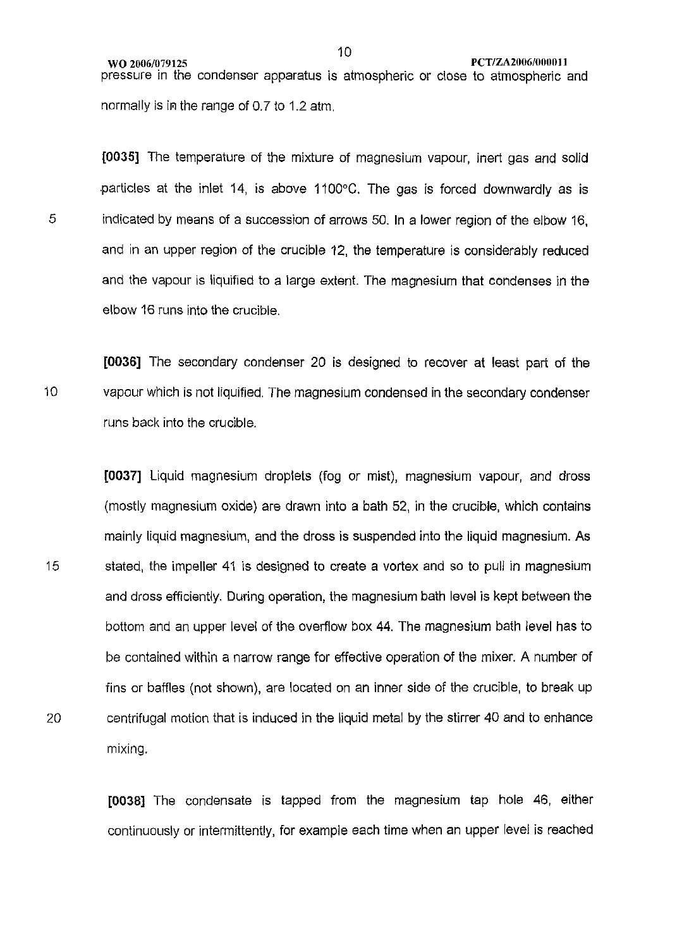**WO** 2006/079125 PCT/ZA2006/000011 pressure in the condenser apparatus is atmospheric or close to atmospheric and normally is in the range of 0.7 to 1.2 atm,

**[0035]** The temperature of the mixture of magnesium vapour, inert gas and solid .particles at the inlet 14, is above 1100°C. The gas is forced downwardly as is 5 indicated by means of a succession of arrows 50. In a lower region of the elbow 16, and in an upper region of the crucible 12, the temperature is considerably reduced and the vapour is liquified to a large extent. The magnesium that condenses in the elbow 16 runs into the crucible.

**[0036]** The secondary condenser 20 is designed to recover at least part of the 10 vapour which is not liquified. The magnesium condensed in the secondary condenser runs back into the crucible.

**[0037]** Liquid magnesium droplets (fog or mist), magnesium vapour, and dross (mostly magnesium oxide) are drawn into a bath 52, in the crucible, which contains mainly liquid magnesium, and the dross is suspended into the liquid magnesium. As 15 stated, the impeller 41 is designed to create a vortex and so to pull in magnesium and dross efficiently. During operation, the magnesium bath level is kept between the bottom and an upper level of the overflow box 44. The magnesium bath level has to be contained within a narrow range for effective operation of the mixer. A number of fins or baffles (not shown), are located on an inner side of the crucible, to break up 20 centrifugal motion that is induced in the liquid metal by the stirrer 40 and to enhance mixing.

> **[0038]** The condensate is tapped from the magnesium tap hole 46, either continuously or intermittently, for example each time when an upper level is reached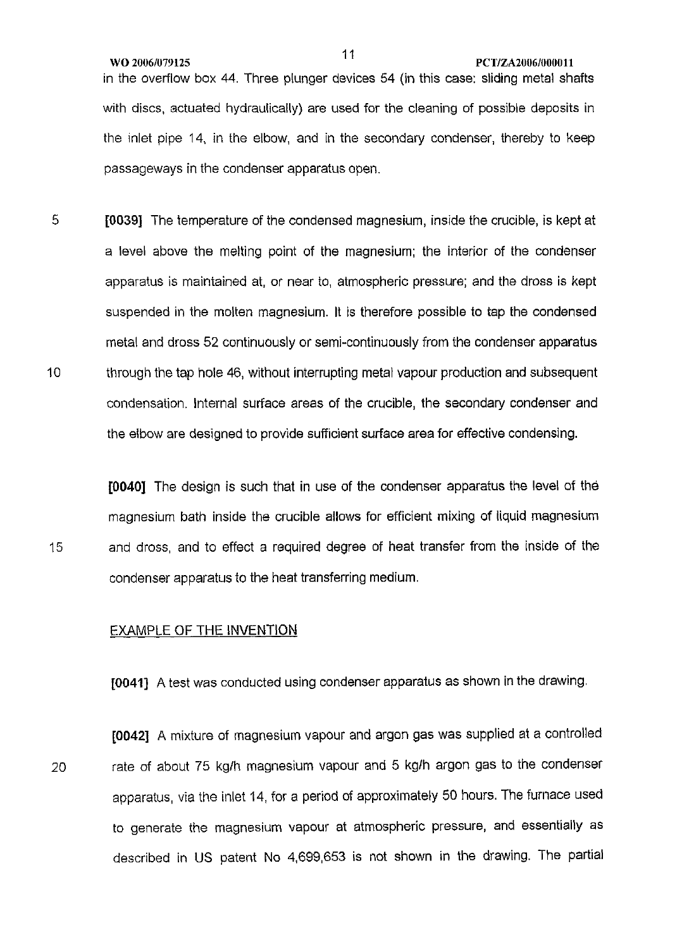5 **[0039]** The temperature of the condensed magnesium, inside the crucible, is kept at a level above the melting point of the magnesium; the interior of the condenser apparatus is maintained at, or near to, atmospheric pressure; and the dross is kept suspended in the molten magnesium. It is therefore possible to tap the condensed metal and dross 52 continuously or semi-continuously from the condenser apparatus 10 through the tap hole 46, without interrupting metal vapour production and subsequent condensation. Internal surface areas of the crucible, the secondary condenser and the elbow are designed to provide sufficient surface area for effective condensing.

**[0040]** The design is such that in use of the condenser apparatus the level of the magnesium bath inside the crucible allows for efficient mixing of liquid magnesium 15 and dross, and to effect a required degree of heat transfer from the inside of the condenser apparatus to the heat transferring medium.

#### EXAMPLE OF THE INVENTION

**[0041)** A test was conducted using condenser apparatus as shown in the drawing,

**[0042]** A mixture of magnesium vapour and argon gas was supplied at a controlled 20 rate of about 75 kg/h magnesium vapour and 5 kg/h argon gas to the condenser apparatus, via the inlet 14, for a period of approximately 50 hours. The furnace used 10 generate the magnesium vapour at atmospheric pressure, and essentially as described in US patent No 4,699,653 is not shown in the drawing. The partial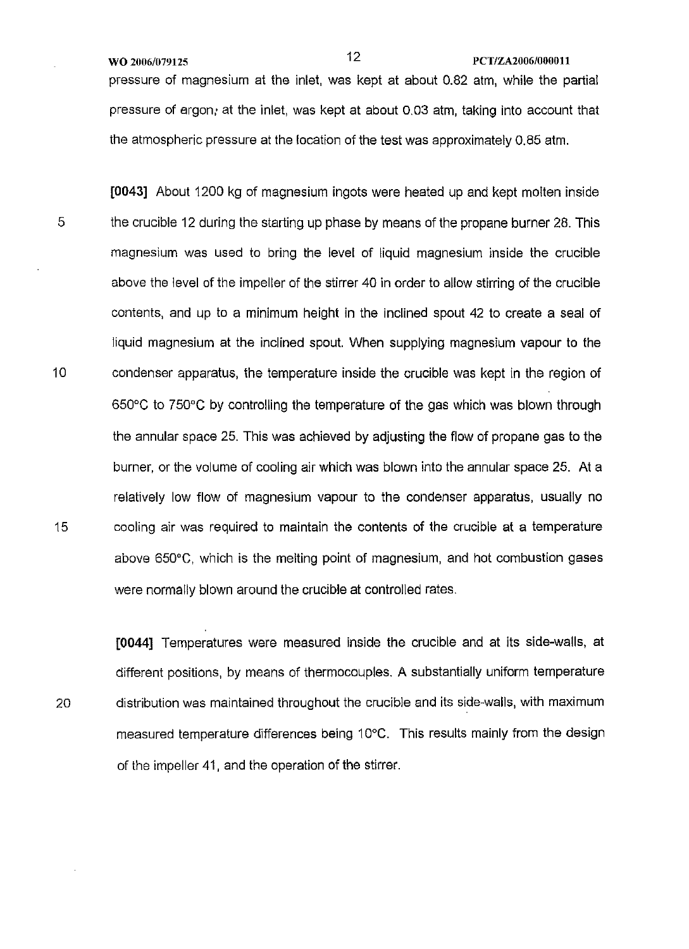**WO** *2006/079125* 12 PCT/ZA2006/000011 pressure of magnesium at the inlet, was kept at about 0.82 atm, while the partial pressure of argon: at the inlet, was kept at about 0.03 atm, taking into account that the atmospheric pressure at the location of the test was approximately 0.85 atm.

**[0043]** About 1200 kg of magnesium ingots were heated up and kept molten inside 5 the crucible 12 during the starting up phase by means of the propane burner 28. This magnesium was used to bring the level of liquid magnesium inside the crucible above the level of the impeller of the stirrer 40 in order to allow stirring of the crucible contents, and up to a minimum height in the inclined spout 42 to create a seal of liquid magnesium at the inclined spout. When supplying magnesium vapour to the 10 condenser apparatus, the temperature inside the crucible was kept in the region of 650°C to 750°C by controlling the temperature of the gas which was blown through the annular space 25. This was achieved by adjusting the flow of propane gas to the burner, or the volume of cooling air which was blown into the annular space 25. At a relatively low flow of magnesium vapour to the condenser apparatus, usually no 15 cooling air was required to maintain the contents of the crucible at a temperature above 650°C, which is the melting point of magnesium, and hot combustion gases were normally blown around the crucible at controlled rates.

**[0044]** Temperatures were measured inside the crucible and at its side-walls, at different positions, by means of thermocouples. A substantially uniform temperature 20 distribution was maintained throughout the crucible and its side-walls, with maximum measured temperature differences being 10°C. This results mainly from the design of the impeller 41, and the operation of the stirrer.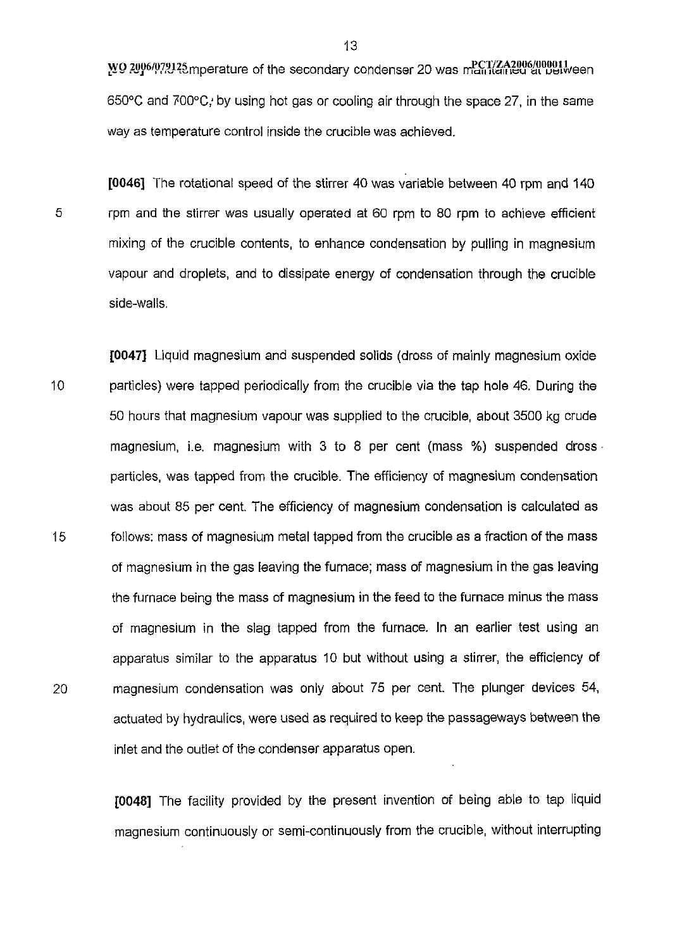wo 2006/07/9125 mperature of the secondary condenser 20 was maintained at between  $650^{\circ}$ C and  $700^{\circ}$ C: by using hot gas or cooling air through the space 27, in the same way as temperature control inside the crucible was achieved.

- **[0046]** The rotational speed of the stirrer 40 was variable between 40 rpm and 140 5 rpm and the stirrer was usually operated at 60 rpm to 80 rpm to achieve efficient mixing of the crucible contents, to enhance condensation by pulling in magnesium vapour and droplets, and to dissipate energy of condensation through the crucible side-walls.
- **[0047]** Liquid magnesium and suspended solids (dross of mainly magnesium oxide 10 particles) were tapped periodically from the crucible via the tap hole 46. During the 50 hours that magnesium vapour was supplied to the crucible, about 3500 kg crude magnesium, i.e. magnesium with 3 to 8 per cent (mass %) suspended dross· particles, was tapped from the crucible. **The** efficiency of magnesium condensation was about 85 per cent. **The** efficiency of magnesium condensation is calculated as 15 follows: mass of magnesium metal tapped from the crucible as a fraction of the mass of magnesium in the gas leaving the furnace; mass of magnesium in the gas leaving the furnace being the mass of magnesium **in** the feed to the furnace minus the mass of magnesium in the slag tapped from the furnace. **In** an earlier test using an apparatus similar to the apparatus 10 but without using a stirrer, the efficiency of 20 magnesium condensation was only about 75 per cent. The plunger devices 54, actuated by hydraulics, were used as required to keep the passageways between the inlet and the outlet of the condenser apparatus open.

**[0048]** The facility provided by the present invention of being able to tap liquid magnesium continuously or semi-continuously from the crucible, without interrupting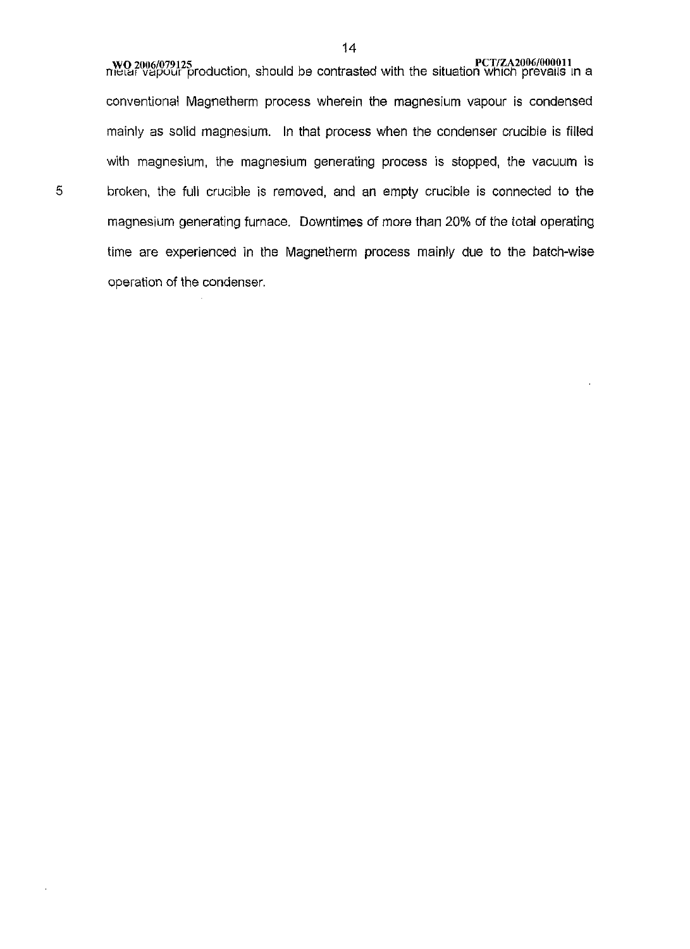**WO** 2006/079125<br>metar vapour production, should be contrasted with the situation which prevails in a conventional Magnetherm process wherein the magnesium vapour is condensed mainly as solid magnesium. In that process when the condenser crucible is filled with magnesium, the magnesium generating process is stopped, the vacuum is 5 broken, the full crucible is removed, and an empty crucible is connected to the magnesium generating furnace. Downtimes of more than 20% of the total operating time are experienced in the Magnetherm process mainly due to the batch-wise operation of the condenser.

14

 $\cdot$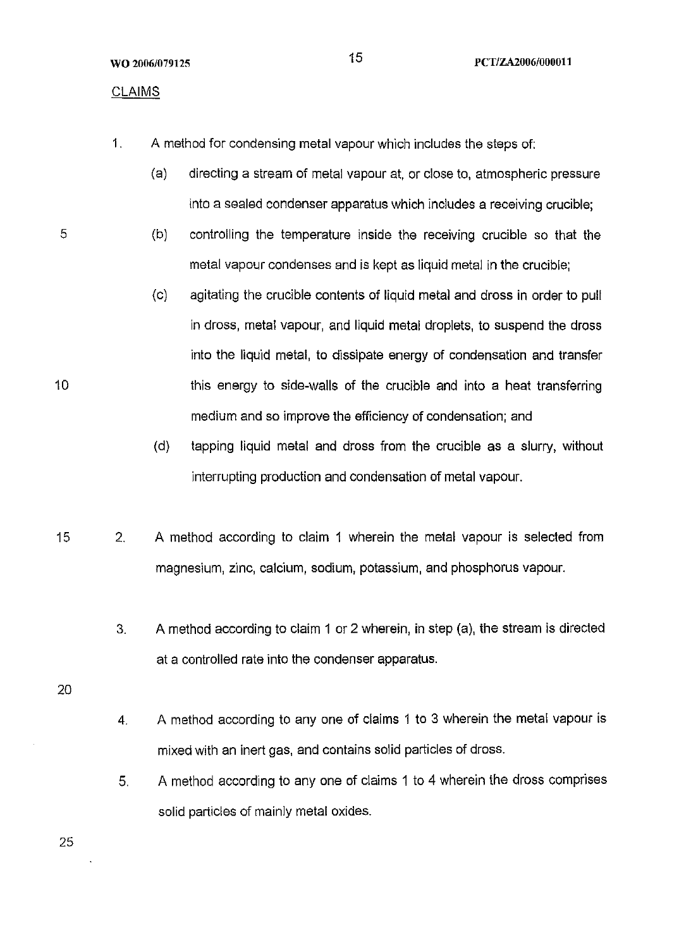#### CLAIMS

- 1. A method for condensing metal vapour which includes the steps of:
	- (a) directing a stream of metal vapour at, or close to, atmospheric pressure into a sealed condenser apparatus which includes a receiving crucible;
- (b) controlling the temperature inside the receiving crucible so that the metal vapour condenses and is kept as liquid metal in the crucible;
	- (c) agitating the crucible contents of liquid metal and dross in order to pull in dross, metal vapour, and liquid metal droplets, to suspend the dross into the liquid metal, to dissipate energy of condensation and transfer this energy to side-walls of the crucible and into a heat transferring medium and so improve the efficiency of condensation; and
		- (d) tapping liquid metal and dross from the crucible as a slurry, without interrupting production and condensation of metal vapour.
- 15 2. A method according to claim 1 wherein the metal vapour is selected from magnesium, zinc, calcium, sodium, potassium, and phosphorus vapour.
	- 3. A method according to claim 1 or 2 wherein, in step (a), the stream is directed at a controlled rate into the condenser apparatus.
- 20

5

- 4. A method according to anyone of claims 1 to 3 wherein the metal vapour is mixed with an inert gas, and contains solid particles of dross.
- 5. A method accordinq to anyone of claims 1 to 4 wherein the dross comprises solid particles of mainly metal oxides.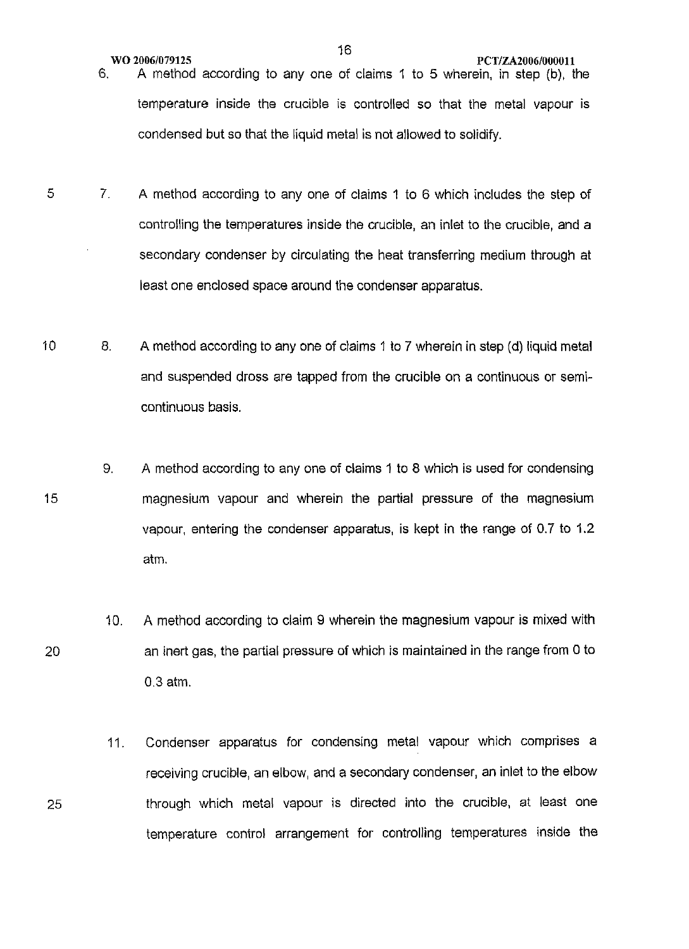- **WO** 2006/079125 **PCT/ZA2006/000011** 6. A method according to anyone of claims 1 to 5 wherein, in step (b), the temperature inside the crucible is controlled so that the metal vapour is condensed but so that the liquid metal is not allowed to solidify.
- 5 7. A method according to anyone of claims 1 to 6 which includes the step of controlling the temperatures inside the crucible, an inlet to the crucible, and a secondary condenser by circulating the heat transferring medium through at least one enclosed space around the condenser apparatus.
- 10 8. A method according to anyone of claims 1 to 7 wherein in step (d) liquid metal and suspended dross are tapped from the crucible on a continuous or semicontinuous basis.
- 15 9. A method according to anyone of claims 1 to 8 which is used for condensing magnesium vapour and wherein the partial pressure of the magnesium vapour, entering the condenser apparatus, is kept in the range of 0.7 to 1.2 atm.
- 10. A method according to claim 9 wherein the magnesium vapour is mixed with 20 an inert gas, the partial pressure of which is maintained in the range from 0 to 0.3 atm.
- 11. Condenser apparatus for condensing metal vapour which comprises a receiving crucible, an elbow, and a secondary condenser, an inlet to the elbow 25 through which metal vapour is directed into the crucible, at least one temperature control arrangement for controlling temperatures inside the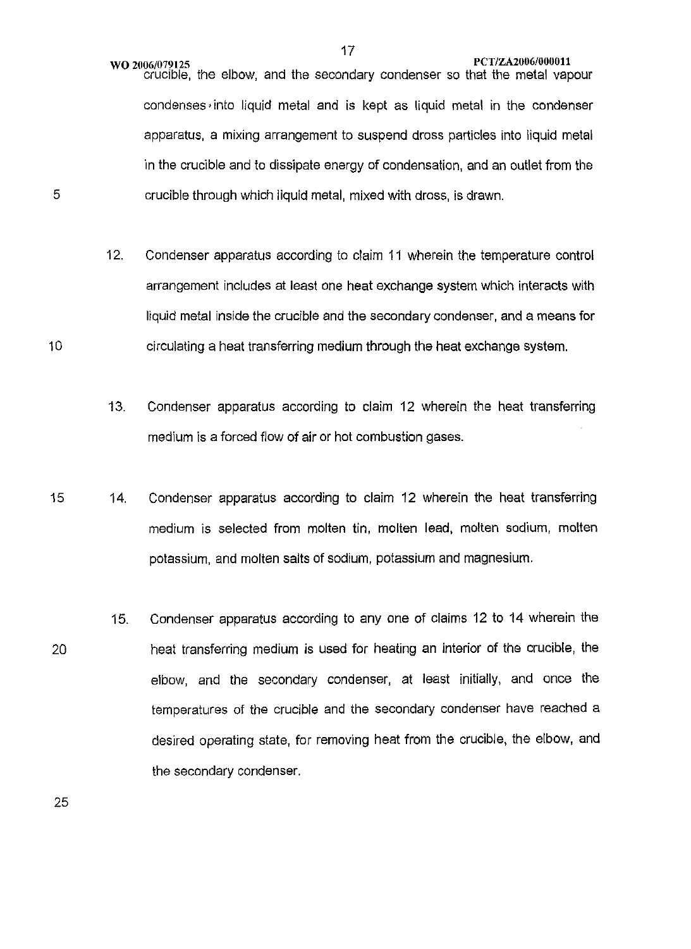5 crucible through which liquid metal, mixed with dross, is drawn.

- 12. Condenser apparatus according to claim 11 wherein the temperature control arrangement includes at least one heat exchange system which interacts with liquid metal inside the crucible and the secondary condenser, and a means for 10 circulating a heat transferring medium through the heat exchangesystem.
	- 13. Condenser apparatus according to claim 12 wherein the heat transferring medium is a forced flow of air or hot combustion gases.
- 15 14. Condenser apparatus according to claim 12 wherein the heat transferring medium is selected from molten tin, molten lead, molten sodium, molten potassium, and molten salts of sodium, potassium and magnesium.
- 15. Condenser apparatus according to anyone of claims 12 to 14 wherein the 20 heat transferring medium is used for heating an interior of the crucible, the elbow, and the secondary condenser, at least initially, and once the temperatures of the crucible and the secondary condenser have reached a desired operating state, for removing heat from the crucible, the elbow, and the secondary condenser.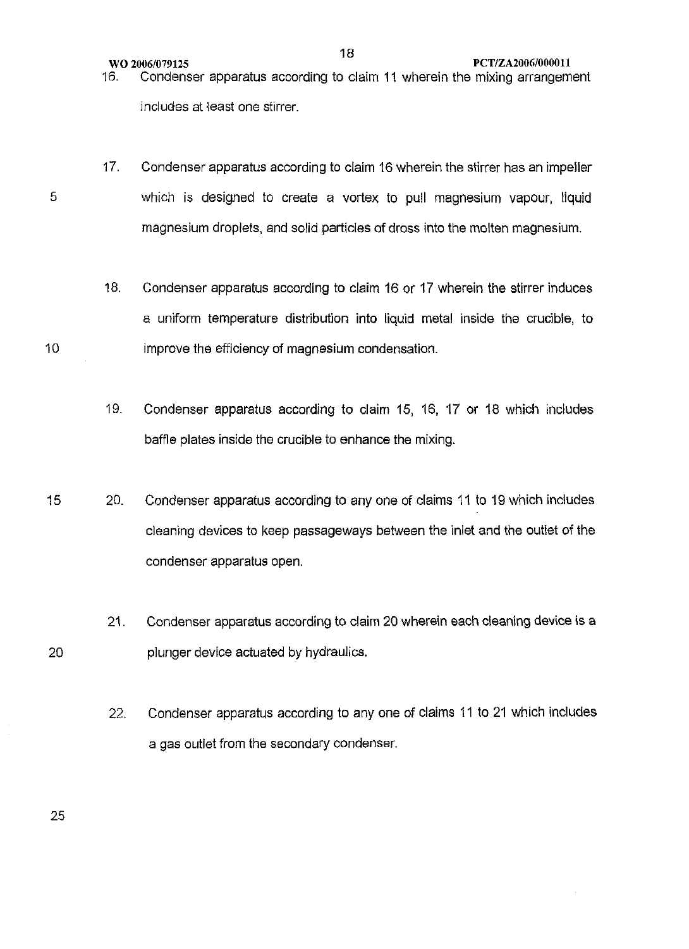**WO** 2006/079125<br>16. Condenser apparatus according to claim 11 wherein the mixing arrangement Condenser apparatus according to claim 11 wherein the mixing arrangement includes at least one stirrer.

- 17. Condenser apparatus according to claim 16 wherein the stirrer has an impeller 5 which is designed to create a vortex to pull magnesium vapour, liquid magnesium droplets, and solid particles of dross into the molten magnesium.
- 18. Condenser apparatus according to claim 16 or 17 wherein the stirrer induces a uniform temperature distribution into liquid metal inside the crucible, to 10 improve the efficiency of magnesium condensation.
	- 19. Condenser apparatus according to claim 15, 16, 17 or 18 which includes baffle plates inside the crucible to enhance the mixing.
- 15 20. Condenser apparatus according to anyone of claims 11 to 19 which includes cleaning devices to keep passageways between the inlet and the outlet of the condenser apparatus open.
- 21. Condenser apparatus according to claim 20 wherein each cleaning device is a 20 plunger device actuated by hydraulics.
	- 22. Condenser apparatus according to anyone of claims 11 to 21 which includes a gas outlet from the secondary condenser.

18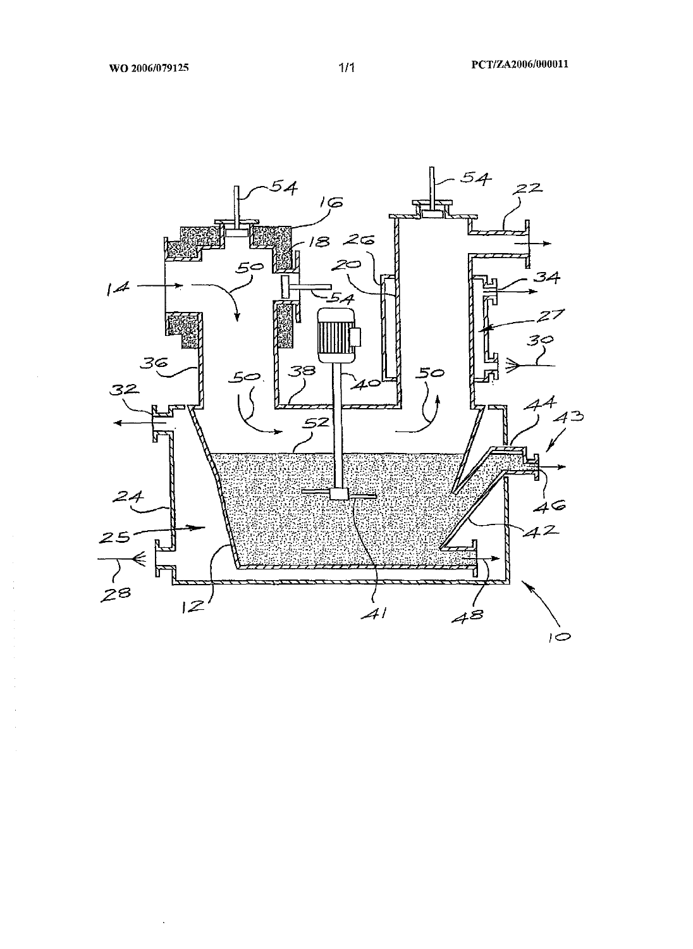$\sim$ 

 $\mathcal{A}^{\pm}$ 

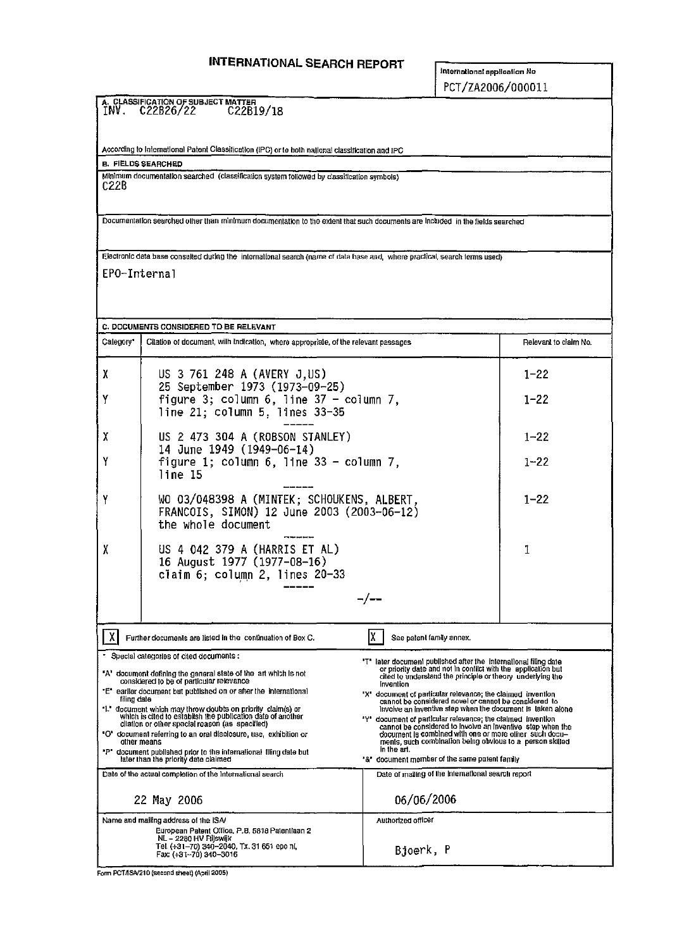International application No  $\sqrt{P}$ 

|                                                                                                                                                                                                                                                                                                                                                                                                                                                                                                        |                                                                                                                                            |                                | <b>FUI/LAZUUD/UUUU11</b>                                                                                                                                                                        |  |  |  |  |
|--------------------------------------------------------------------------------------------------------------------------------------------------------------------------------------------------------------------------------------------------------------------------------------------------------------------------------------------------------------------------------------------------------------------------------------------------------------------------------------------------------|--------------------------------------------------------------------------------------------------------------------------------------------|--------------------------------|-------------------------------------------------------------------------------------------------------------------------------------------------------------------------------------------------|--|--|--|--|
| A. CLASSIFICATION OF SUBJECT MATTER<br>INV. C22B26/22 C22B1<br>C22B19/18                                                                                                                                                                                                                                                                                                                                                                                                                               |                                                                                                                                            |                                |                                                                                                                                                                                                 |  |  |  |  |
| According to International Patent Classification (IPC) or to both national classification and IPC                                                                                                                                                                                                                                                                                                                                                                                                      |                                                                                                                                            |                                |                                                                                                                                                                                                 |  |  |  |  |
|                                                                                                                                                                                                                                                                                                                                                                                                                                                                                                        | <b>B. FIELDS SEARCHED</b>                                                                                                                  |                                |                                                                                                                                                                                                 |  |  |  |  |
| C22B                                                                                                                                                                                                                                                                                                                                                                                                                                                                                                   | Minimum documentation searched (classification system followed by classification symbols)                                                  |                                |                                                                                                                                                                                                 |  |  |  |  |
|                                                                                                                                                                                                                                                                                                                                                                                                                                                                                                        | Documentation searched other than minimum documentation to the extent that such documents are included in the fields searched              |                                |                                                                                                                                                                                                 |  |  |  |  |
|                                                                                                                                                                                                                                                                                                                                                                                                                                                                                                        | Electronic data base consulted during the international search (name of data base and, where practical, search terms used)<br>EPO-Internal |                                |                                                                                                                                                                                                 |  |  |  |  |
|                                                                                                                                                                                                                                                                                                                                                                                                                                                                                                        | <b>C. DOCUMENTS CONSIDERED TO BE RELEVANT</b>                                                                                              |                                |                                                                                                                                                                                                 |  |  |  |  |
| Category*                                                                                                                                                                                                                                                                                                                                                                                                                                                                                              | Citation of document, with indication, where appropriate, of the relevant passages                                                         |                                | Relevant to claim No.                                                                                                                                                                           |  |  |  |  |
| Χ                                                                                                                                                                                                                                                                                                                                                                                                                                                                                                      | US 3 761 248 A (AVERY J,US)                                                                                                                |                                | $1 - 22$                                                                                                                                                                                        |  |  |  |  |
| Y                                                                                                                                                                                                                                                                                                                                                                                                                                                                                                      | 25 September 1973 (1973-09-25)<br>figure 3; column 6, line $37 - \text{column } 7$ ,<br>line 21; column 5, lines 33-35                     |                                | $1 - 22$                                                                                                                                                                                        |  |  |  |  |
| χ                                                                                                                                                                                                                                                                                                                                                                                                                                                                                                      | US 2 473 304 A (ROBSON STANLEY)<br>14 June 1949 (1949-06-14)                                                                               |                                | $1 - 22$                                                                                                                                                                                        |  |  |  |  |
| Y                                                                                                                                                                                                                                                                                                                                                                                                                                                                                                      | figure 1; $colum 6$ , $line 33 - colum 7$ ,<br>line 15                                                                                     | $1 - 22$                       |                                                                                                                                                                                                 |  |  |  |  |
| Y                                                                                                                                                                                                                                                                                                                                                                                                                                                                                                      | WO 03/048398 A (MINTEK; SCHOUKENS, ALBERT,<br>FRANCOIS, SIMON) 12 June 2003 (2003-06-12)<br>the whole document                             |                                | $1 - 22$                                                                                                                                                                                        |  |  |  |  |
| Χ                                                                                                                                                                                                                                                                                                                                                                                                                                                                                                      | US 4 042 379 A (HARRIS ET AL)<br>16 August 1977 (1977-08-16)<br>claim 6; column 2, lines 20-33                                             |                                | 1                                                                                                                                                                                               |  |  |  |  |
|                                                                                                                                                                                                                                                                                                                                                                                                                                                                                                        |                                                                                                                                            | $-/--$                         |                                                                                                                                                                                                 |  |  |  |  |
| χ                                                                                                                                                                                                                                                                                                                                                                                                                                                                                                      | Further documents are listed in the continuation of Box C.                                                                                 | Ix<br>See patent family annex. |                                                                                                                                                                                                 |  |  |  |  |
| Special categories of cited documents:<br>"A" document defining the general state of the art which is not                                                                                                                                                                                                                                                                                                                                                                                              |                                                                                                                                            |                                | "T" later document published after the international filing date<br>or priority date and not in conflict with the application but<br>cited to understand the principle or theory underlying the |  |  |  |  |
| ۰Ε.<br>filing date                                                                                                                                                                                                                                                                                                                                                                                                                                                                                     | considered to be of particular relevance<br>earlier document but published on or after the international                                   | invention                      | 'X' document of particular relevance: the claimed invention<br>cannot be considered novel or cannot be considered to                                                                            |  |  |  |  |
| "L" document which may throw doubts on priority claim(s) or<br>Involve an inventive slep when the document is laken alone<br>which is cited to establish the publication date of another<br>'Y' document of particular relevance; the claimed invention<br>cliation or other special reason (as specified)<br>cannot be considered to involve an inventive stap when the<br>document is combined with one or more other such docu-<br>"O" document referring to an oral disclosure, use, exhibition or |                                                                                                                                            |                                |                                                                                                                                                                                                 |  |  |  |  |
| ments, such combination being obvious to a person skilled<br>other means<br>in the art.<br>.р.<br>document published prior to the international filing date but<br>'8' document member of the same patent family<br>later than the priority date claimed                                                                                                                                                                                                                                               |                                                                                                                                            |                                |                                                                                                                                                                                                 |  |  |  |  |
|                                                                                                                                                                                                                                                                                                                                                                                                                                                                                                        | Date of the actual completion of the international search                                                                                  |                                | Date of mailing of the International search report                                                                                                                                              |  |  |  |  |
| 06/06/2006<br>22 May 2006                                                                                                                                                                                                                                                                                                                                                                                                                                                                              |                                                                                                                                            |                                |                                                                                                                                                                                                 |  |  |  |  |
|                                                                                                                                                                                                                                                                                                                                                                                                                                                                                                        | Name and mailing address of the ISA<br>Authorized officer<br>European Patent Office, P.B. 5818 Patentiaan 2<br>NL – 2280 HV Rijswijk       |                                |                                                                                                                                                                                                 |  |  |  |  |
|                                                                                                                                                                                                                                                                                                                                                                                                                                                                                                        | Tel. (+31–70) 340–2040, Tx. 31 651 epo nl,<br>Fax: (+31-70) 340-3016                                                                       | Bjoerk, P                      |                                                                                                                                                                                                 |  |  |  |  |

Form PCT/ISA/210 (second sheet) (April 2005)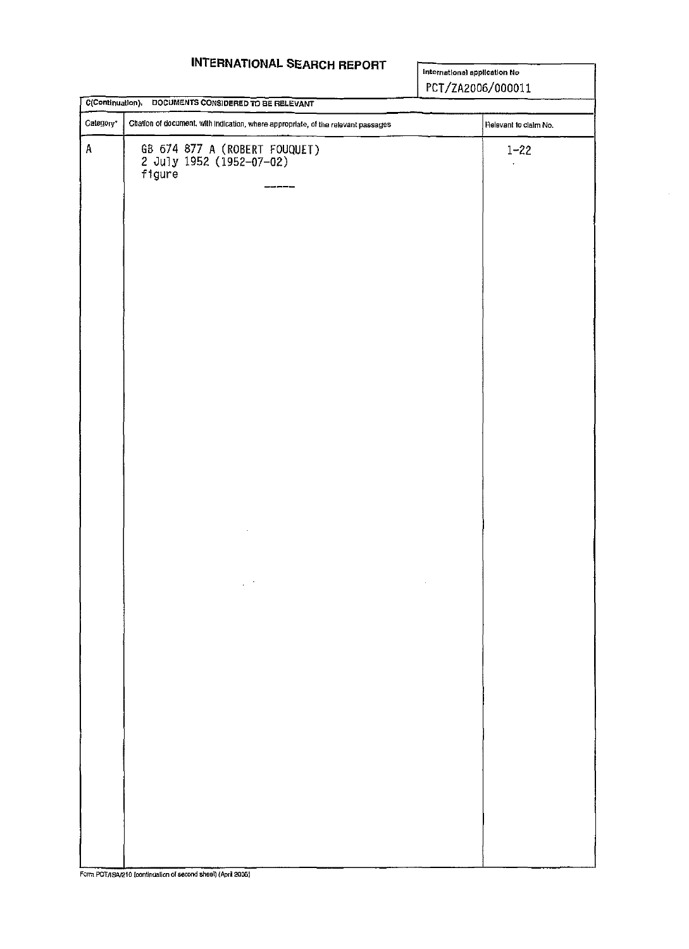## **INTERNATIONAL SEARCH REPORT**

**International application No** PCT/ZA2006/000011

| . .<br>--,<br>C(Continuation), DOCUMENTS CONSIDERED TO BE RELEVANT |                                                                                    |                       |  |  |  |  |  |  |
|--------------------------------------------------------------------|------------------------------------------------------------------------------------|-----------------------|--|--|--|--|--|--|
| Category*                                                          | Citation of document, with Indication, where appropriate, of the relevant passages | Relevant to claim No. |  |  |  |  |  |  |
| A                                                                  | GB 674 877 A (ROBERT FOUQUET)<br>2 July 1952 (1952-07-02)<br>figure                | $1 - 22$              |  |  |  |  |  |  |
|                                                                    | $\mathbf{r}$                                                                       |                       |  |  |  |  |  |  |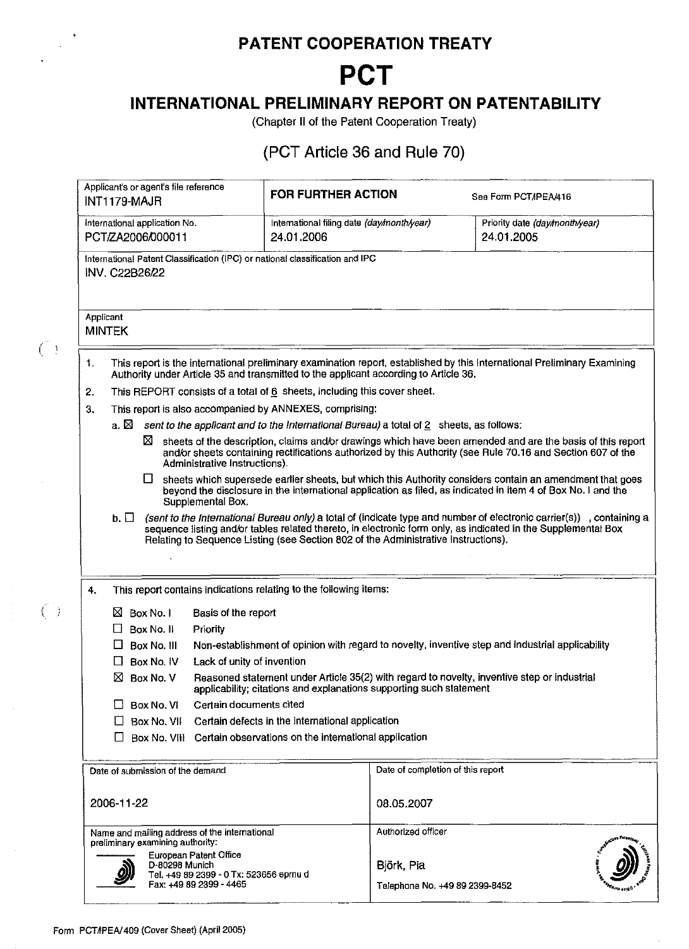## **PATENT COOPERATION TREATY**

# **peT**

# **INTERNATIONAL PRELIMINARY REPORT ON PATENTABILlTY**

(Chapter <sup>11</sup> of the Patent Cooperation Treaty)

# (peT Article 36 and Rule 70)

| INT1179-MAJR                                       | Applicant's or agent's file reference                            | <b>FOR FURTHER ACTION</b>                                                                 | See Form PCT/IPEA/416                                                                                                                                                                                                     |
|----------------------------------------------------|------------------------------------------------------------------|-------------------------------------------------------------------------------------------|---------------------------------------------------------------------------------------------------------------------------------------------------------------------------------------------------------------------------|
| International application No.<br>PCT/ZA2006/000011 |                                                                  | International filing date (day/month/year)<br>24.01.2006                                  | Priority date (day/monthlyear)<br>24.01.2005                                                                                                                                                                              |
| INV. C22B26/22                                     |                                                                  | International Patent Classification (IPC) or national classification and IPC              |                                                                                                                                                                                                                           |
| Applicant<br><b>MINTEK</b>                         |                                                                  |                                                                                           |                                                                                                                                                                                                                           |
| 1.                                                 |                                                                  | Authority under Article 35 and transmitted to the applicant according to Article 36.      | This report is the international preliminary examination report, established by this International Preliminary Examining                                                                                                  |
| 2.                                                 |                                                                  | This REPORT consists of a total of 6 sheets, including this cover sheet.                  |                                                                                                                                                                                                                           |
| 3.                                                 |                                                                  | This report is also accompanied by ANNEXES, comprising:                                   |                                                                                                                                                                                                                           |
| a. ⊠                                               |                                                                  | sent to the applicant and to the International Bureau) a total of $2$ sheets, as follows: |                                                                                                                                                                                                                           |
| ⊠                                                  | Administrative Instructions).                                    |                                                                                           | sheets of the description, claims and/or drawings which have been amended and are the basis of this report<br>and/or sheets containing rectifications authorized by this Authority (see Rule 70.16 and Section 607 of the |
| ப                                                  | Supplemental Box.                                                |                                                                                           | sheets which supersede earlier sheets, but which this Authority considers contain an amendment that goes<br>beyond the disclosure in the international application as filed, as indicated in item 4 of Box No. I and the  |
|                                                    |                                                                  |                                                                                           |                                                                                                                                                                                                                           |
| $b. \Box$                                          |                                                                  | Relating to Sequence Listing (see Section 802 of the Administrative Instructions).        | sequence listing and/or tables related thereto, in electronic form only, as indicated in the Supplemental Box                                                                                                             |
| 4.                                                 |                                                                  | This report contains indications relating to the following items:                         | (sent to the International Bureau only) a total of (indicate type and number of electronic carrier(s)) , containing a                                                                                                     |
| $\boxtimes$ Box No. I                              |                                                                  |                                                                                           |                                                                                                                                                                                                                           |
| $\Box$ Box No. II                                  | Basis of the report<br>Priority                                  |                                                                                           |                                                                                                                                                                                                                           |
| $\Box$ Box No. III                                 |                                                                  |                                                                                           | Non-establishment of opinion with regard to novelty, inventive step and industrial applicability                                                                                                                          |
| Box No. IV                                         | Lack of unity of invention                                       |                                                                                           |                                                                                                                                                                                                                           |
| $\boxtimes$ Box No. V                              |                                                                  | applicability; citations and explanations supporting such statement                       | Reasoned statement under Article 35(2) with regard to novelty, inventive step or industrial                                                                                                                               |
| Box No. VI                                         | Certain documents cited                                          |                                                                                           |                                                                                                                                                                                                                           |
| Box No. VII                                        |                                                                  | Certain defects in the international application                                          |                                                                                                                                                                                                                           |
|                                                    |                                                                  | Box No. VIII Certain observations on the international application                        |                                                                                                                                                                                                                           |
| Date of submission of the demand                   |                                                                  |                                                                                           | Date of completion of this report                                                                                                                                                                                         |
| 2006-11-22                                         |                                                                  | 08.05.2007                                                                                |                                                                                                                                                                                                                           |
| Name and mailing address of the international      |                                                                  | Authorized officer                                                                        |                                                                                                                                                                                                                           |
| preliminary examining authority:<br>D-80298 Munich | European Patent Office<br>Tel. +49 89 2399 - 0 Tx: 523656 epmu d | Björk, Pia                                                                                |                                                                                                                                                                                                                           |

 $\bigcap$ 

 $\overline{C}$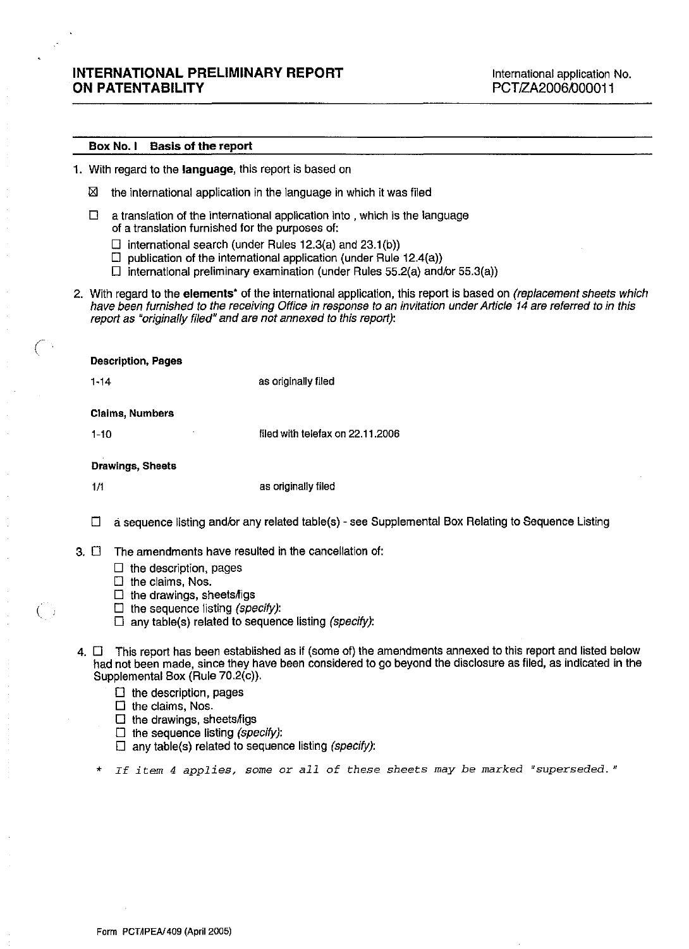## **INTERNATIONAL PRELIMINARY REPORT ON PATENTABILlTY**

 $\bigcap$ 

 $\hat{C}$ 

|  |           | <b>Box No. I</b>       | <b>Basis of the report</b>                                                                                                                                                                                                                                                                                                       |
|--|-----------|------------------------|----------------------------------------------------------------------------------------------------------------------------------------------------------------------------------------------------------------------------------------------------------------------------------------------------------------------------------|
|  |           |                        | 1. With regard to the language, this report is based on                                                                                                                                                                                                                                                                          |
|  | ⊠         |                        | the international application in the language in which it was filed                                                                                                                                                                                                                                                              |
|  | $\Box$    |                        | a translation of the international application into, which is the language<br>of a translation furnished for the purposes of:                                                                                                                                                                                                    |
|  |           |                        | $\Box$ international search (under Rules 12.3(a) and 23.1(b))<br>$\Box$ publication of the international application (under Rule 12.4(a))<br>$\Box$ international preliminary examination (under Rules 55.2(a) and/or 55.3(a))                                                                                                   |
|  |           |                        | 2. With regard to the elements <sup>*</sup> of the international application, this report is based on <i>(replacement sheets which</i><br>have been furnished to the receiving Office in response to an invitation under Article 14 are referred to in this<br>report as "originally filed" and are not annexed to this report): |
|  |           |                        | <b>Description, Pages</b>                                                                                                                                                                                                                                                                                                        |
|  | $1 - 14$  |                        | as originally filed                                                                                                                                                                                                                                                                                                              |
|  |           | <b>Claims, Numbers</b> |                                                                                                                                                                                                                                                                                                                                  |
|  | $1 - 10$  |                        | filed with telefax on 22.11.2006                                                                                                                                                                                                                                                                                                 |
|  |           |                        | <b>Drawings, Sheets</b>                                                                                                                                                                                                                                                                                                          |
|  | 1/1       |                        | as originally filed                                                                                                                                                                                                                                                                                                              |
|  | $\Box$    |                        | a sequence listing and/or any related table(s) - see Supplemental Box Relating to Sequence Listing                                                                                                                                                                                                                               |
|  | $3. \Box$ |                        | The amendments have resulted in the cancellation of:                                                                                                                                                                                                                                                                             |
|  |           |                        | $\Box$ the description, pages<br>$\Box$ the claims, Nos.                                                                                                                                                                                                                                                                         |
|  |           |                        | $\Box$ the drawings, sheets/figs<br>$\Box$ the sequence listing (specify):                                                                                                                                                                                                                                                       |
|  |           |                        | $\Box$ any table(s) related to sequence listing (specify):                                                                                                                                                                                                                                                                       |
|  | 4. LI     |                        | This report has been established as if (some of) the amendments annexed to this report and listed below<br>had not been made, since they have been considered to go beyond the disclosure as filed, as indicated in the<br>Supplemental Box (Rule 70.2(c)).                                                                      |
|  |           |                        | $\Box$ the description, pages<br>$\Box$ the claims, Nos.                                                                                                                                                                                                                                                                         |
|  |           |                        | $\Box$ the drawings, sheets/figs                                                                                                                                                                                                                                                                                                 |
|  |           |                        | $\Box$ the sequence listing (specify):<br>$\Box$ any table(s) related to sequence listing (specify):                                                                                                                                                                                                                             |
|  | $\star$   |                        | If item 4 applies, some or all of these sheets may be marked "superseded."                                                                                                                                                                                                                                                       |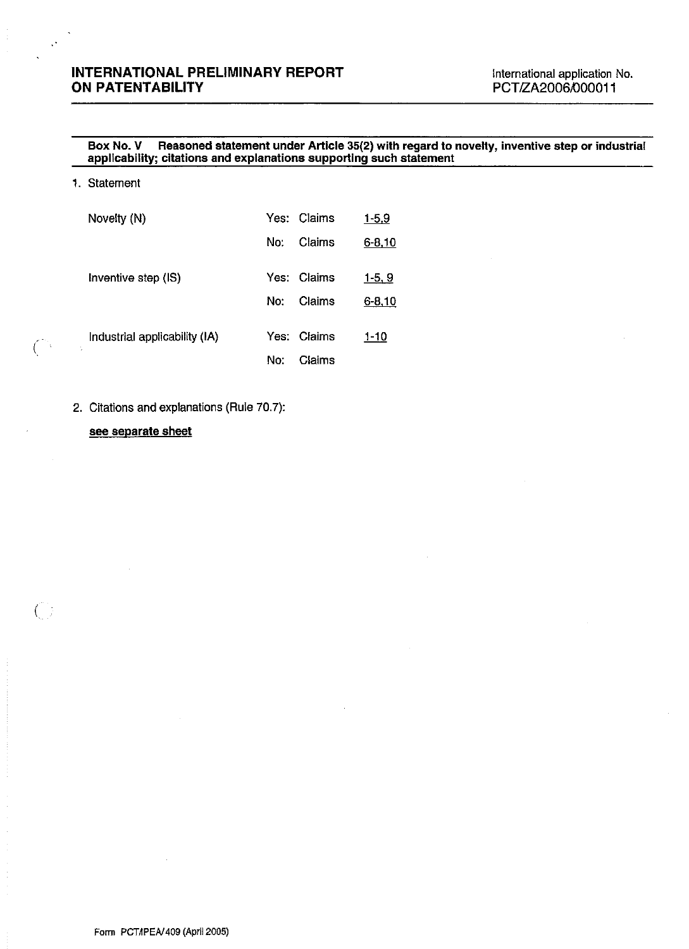| Box No. V | Reasoned statement under Article 35(2) with regard to novelty, inventive step or industrial |
|-----------|---------------------------------------------------------------------------------------------|
|           | applicability; citations and explanations supporting such statement                         |

| 1. | Statement |
|----|-----------|
|    |           |

 $\bigcap$ 

J.

 $\binom{n}{k}$ 

| Novelty (N)                   |     | Yes: Claims | 15.9         |
|-------------------------------|-----|-------------|--------------|
|                               | No: | Claims      | $6 - 8$ , 10 |
| Inventive step (IS)           |     | Yes: Claims | <u>1-5.9</u> |
|                               | No: | Claims      | $6 - 8, 10$  |
| Industrial applicability (IA) |     | Yes: Claims | $1 - 10$     |
|                               | No: | Claims      |              |

2. Citations and explanations (Rule 70.7):

#### **see separate sheet**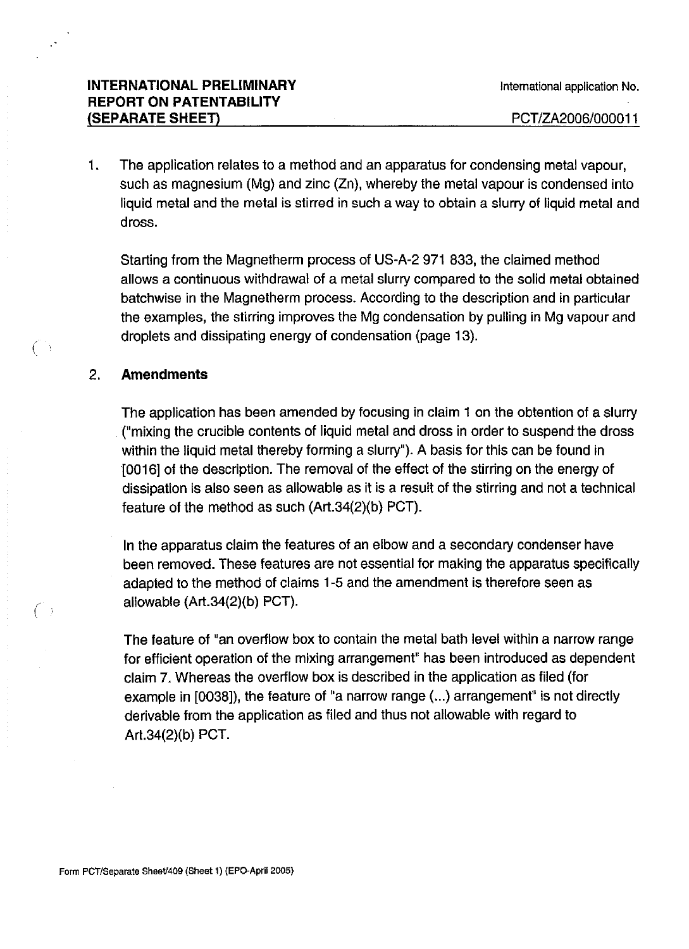1. The application relates to a method and an apparatus for condensing metal vapour, such as magnesium (Mg) and zinc (Zn), whereby the metal vapour is condensed into liquid metal and the metal is stirred in such a way to obtain a slurry of liquid metal and dross.

Starting from the Magnetherm process of US-A-2 971 833, the claimed method allows a continuous withdrawal of a metal slurry compared to the solid metal obtained batchwise in the Magnetherm process. According to the description and in particular the examples, the stirring improves the Mg condensation by pulling in Mg vapour and droplets and dissipating energy of condensation (page 13).

#### 2. **Amendments**

 $\bigcirc$ 

 $\bigcap$ 

The application has been amended by focusing in claim 1 on the obtention of a slurry ("mixing the crucible contents of liquid metal and dross in order to suspend the dross within the liquid metal thereby forming a slurry"). A basis for this can be found in [0016] of the description. The removal of the effect of the stirring on the energy of dissipation is also seen as allowable as it is a resuit of the stirring and not a technical feature of the method as such (Art.34(2)(b) PCT).

In the apparatus claim the features of an elbow and a secondary condenser have been removed. These features are not essential for making the apparatus specifically adapted to the method of claims 1-5 and the amendment is therefore seen as allowable (Art.34(2)(b) PCT).

The feature of "an overflow box to contain the metal bath level within a narrow range for efficient operation of the mixing arrangement" has been introduced as dependent claim 7. Whereas the overflow box is described in the application as filed (for example in [0038]), the feature of "a narrow range (...) arrangement" is not directly derivable from the application as filed and thus not allowable with regard to Art.34(2)(b) PCT.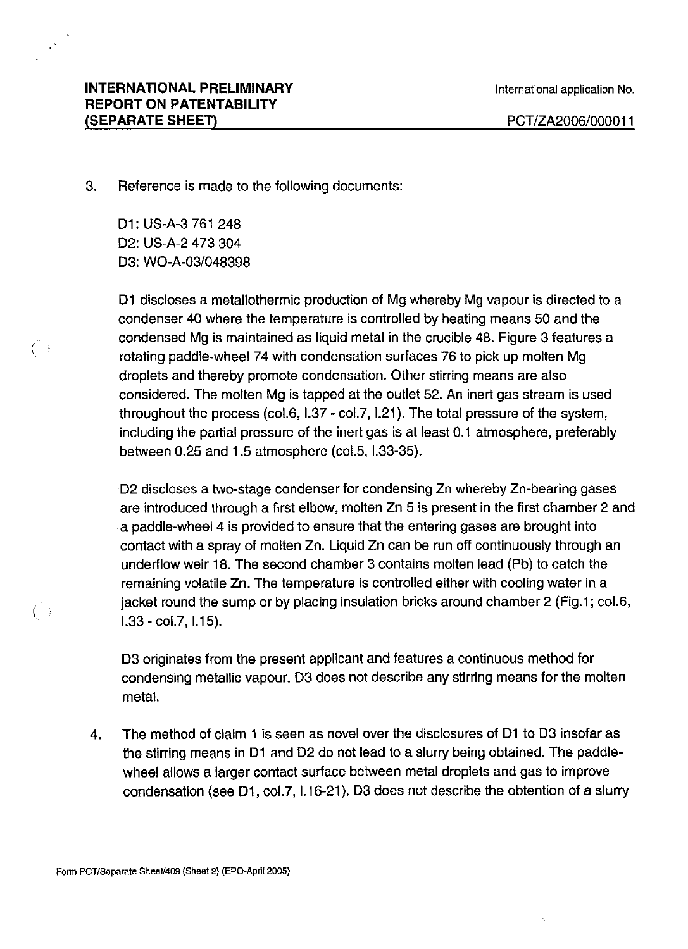3. Reference is made to the following documents:

01: US-A-3 761 248 02: US-A-2 473 304 03: WO-A-03/048398

 $\left(\begin{array}{c} \cdot \end{array}\right)$ 

, I

01 discloses a metallothermic production of Mg whereby Mg vapour is directed to a condenser 40 where the temperature is controlled by heating means 50 and the condensed Mg is maintained as liquid metal in the crucible 48. Figure 3 features a rotating paddle-wheel 74 with condensation surfaces 76 to pick up molten Mg droplets and thereby promote condensation. Other stirring means are also considered. The molten Mg is tapped at the outlet 52. An inert gas stream is used throughout the process (coL6, 1.37 - coL7, 1.21). The total pressure of the system, including the partial pressure of the inert gas is at least 0.1 atmosphere, preferably between 0.25 and 1.5 atmosphere (coL5, 1.33-35).

02 discloses a two-stage condenser for condensing Zn whereby Zn-bearing gases are introduced through a first elbow, molten Zn 5 is present in the first chamber 2 and a paddle-wheel 4 is provided to ensure that the entering gases are brought into contact with a spray of molten Zn. Liquid Zn can be run off continuously through an underflow weir 18. The second chamber 3 contains molten lead (Pb) to catch the remaining volatile Zn. The temperature is controlled either with cooling water in a jacket round the sump or by placing insulation bricks around chamber 2 (Fig.1; col.6, 1.33 - coL7, 1.15).

03 originates from the present applicant and features a continuous method for condensing metallic vapour. 03 does not describe any stirring means for the molten metal.

4. The method of claim 1 is seen as novel over the disclosures of 01 to 03 insofar as the stirring means in 01 and 02 do not lead to a slurry being obtained. The paddlewheel allows a larger contact surface between metal droplets and gas to improve condensation (see D1, col.7, l.16-21). D3 does not describe the obtention of a slurry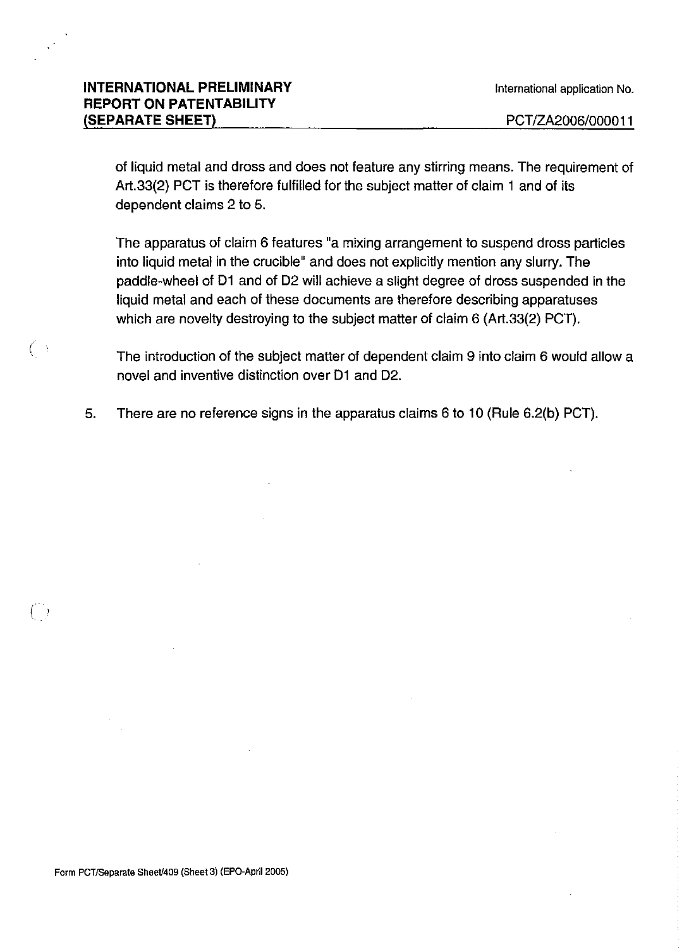$\left(\begin{array}{c}\right)$ 

 $\binom{m}{2}$ 

of liquid metal and dross and does not feature any stirring means. The requirement of Art.33(2) PCT is therefore fulfilled for the subject matter of claim 1 and of its dependent claims 2 to 6.

The apparatus of claim 6 features "a mixing arrangement to suspend dross particles into liquid metal in the crucible" and does not explicitly mention any slurry. The paddle-wheel of 01 and of 02 will achieve a slight degree of dross suspended in the liquid metal and each of these documents are therefore describing apparatuses which are novelty destroying to the subject matter of claim 6 (Art.33(2) PCT).

The introduction of the subject matter of dependent claim 9 into claim 6 would allow a novel and inventive distinction over 01 and 02.

6. There are no reference signs in the apparatus claims 6 to 10 (Rule 6.2(b) PCT).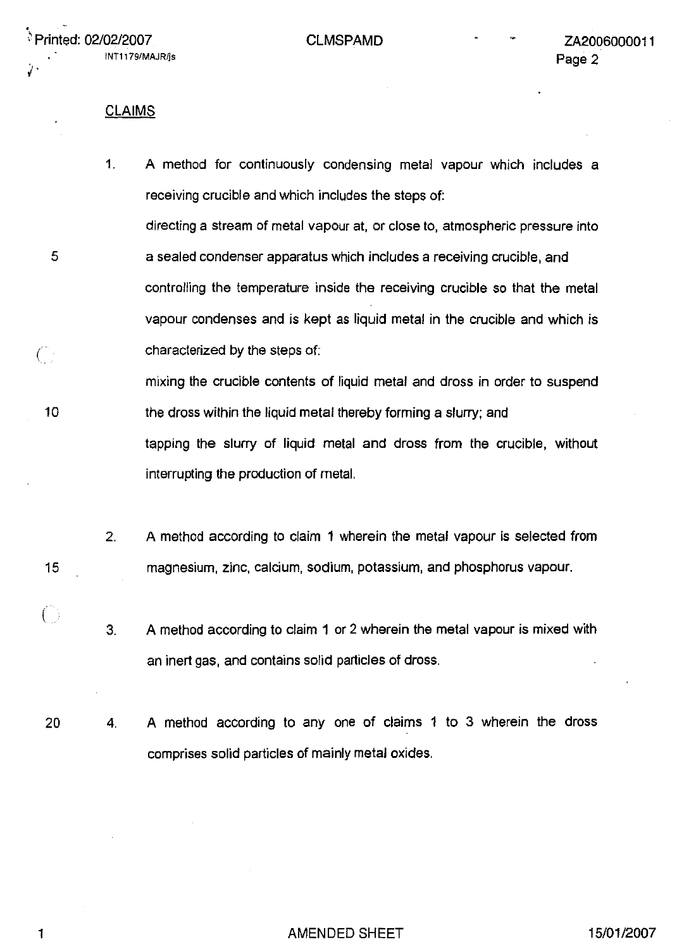5

 $\bigcap$ 

15

 $\bigcirc$ 

### CLAIMS

1. A method for continuously condensing metal vapour which includes a receiving crucible and which includes the steps of: directing a stream of metal vapour at, or close to, atmospheric pressure into a sealed condenser apparatus which includes a receiving crucible, and controlling the temperature inside the receiving crucible so that the metal vapour condenses and is kept as liquid metal in the crucible and which is characterized by the steps of:

mixing the crucible contents of liquid metal and dross in order to suspend

- 10 the dross within the liquid metal thereby forming a slurry; and tapping the slurry of liquid metal and dross from the crucible, without interrupting the production of metal.
	- 2. A method according to claim 1 wherein the metal vapour is selected from magnesium, zinc, calcium, sodium, potassium, and phosphorus vapour.
		- 3. A method according to claim 1 or 2 wherein the metal vapour is mixed with an inert gas, and contains solid particles of dross.
- 20 4. A method according to anyone of claims 1 to 3 wherein the dross comprises solid particles of mainly metal oxides.

1 AMENDED SHEET 15/01/2007